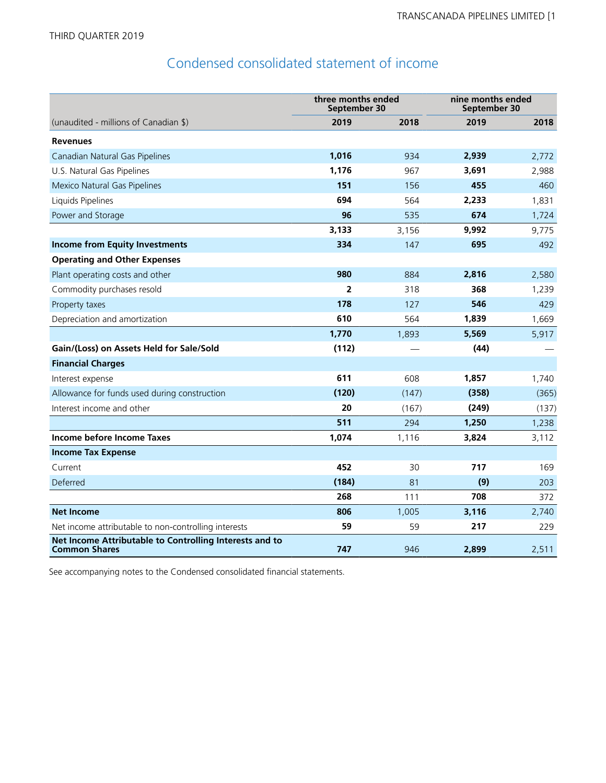## Condensed consolidated statement of income

|                                                                                 | three months ended<br>September 30 |       | nine months ended<br>September 30 |       |  |
|---------------------------------------------------------------------------------|------------------------------------|-------|-----------------------------------|-------|--|
| (unaudited - millions of Canadian \$)                                           | 2019                               | 2018  | 2019                              | 2018  |  |
| <b>Revenues</b>                                                                 |                                    |       |                                   |       |  |
| Canadian Natural Gas Pipelines                                                  | 1,016                              | 934   | 2,939                             | 2,772 |  |
| U.S. Natural Gas Pipelines                                                      | 1,176                              | 967   | 3,691                             | 2,988 |  |
| Mexico Natural Gas Pipelines                                                    | 151                                | 156   | 455                               | 460   |  |
| Liquids Pipelines                                                               | 694                                | 564   | 2,233                             | 1,831 |  |
| Power and Storage                                                               | 96                                 | 535   | 674                               | 1,724 |  |
|                                                                                 | 3,133                              | 3,156 | 9,992                             | 9,775 |  |
| <b>Income from Equity Investments</b>                                           | 334                                | 147   | 695                               | 492   |  |
| <b>Operating and Other Expenses</b>                                             |                                    |       |                                   |       |  |
| Plant operating costs and other                                                 | 980                                | 884   | 2,816                             | 2,580 |  |
| Commodity purchases resold                                                      | $\overline{2}$                     | 318   | 368                               | 1,239 |  |
| Property taxes                                                                  | 178                                | 127   | 546                               | 429   |  |
| Depreciation and amortization                                                   | 610                                | 564   | 1,839                             | 1,669 |  |
|                                                                                 | 1,770                              | 1,893 | 5,569                             | 5,917 |  |
| Gain/(Loss) on Assets Held for Sale/Sold                                        | (112)                              |       | (44)                              |       |  |
| <b>Financial Charges</b>                                                        |                                    |       |                                   |       |  |
| Interest expense                                                                | 611                                | 608   | 1,857                             | 1,740 |  |
| Allowance for funds used during construction                                    | (120)                              | (147) | (358)                             | (365) |  |
| Interest income and other                                                       | 20                                 | (167) | (249)                             | (137) |  |
|                                                                                 | 511                                | 294   | 1,250                             | 1,238 |  |
| Income before Income Taxes                                                      | 1,074                              | 1,116 | 3,824                             | 3,112 |  |
| <b>Income Tax Expense</b>                                                       |                                    |       |                                   |       |  |
| Current                                                                         | 452                                | 30    | 717                               | 169   |  |
| Deferred                                                                        | (184)                              | 81    | (9)                               | 203   |  |
|                                                                                 | 268                                | 111   | 708                               | 372   |  |
| <b>Net Income</b>                                                               | 806                                | 1,005 | 3,116                             | 2,740 |  |
| Net income attributable to non-controlling interests                            | 59                                 | 59    | 217                               | 229   |  |
| Net Income Attributable to Controlling Interests and to<br><b>Common Shares</b> | 747                                | 946   | 2,899                             | 2,511 |  |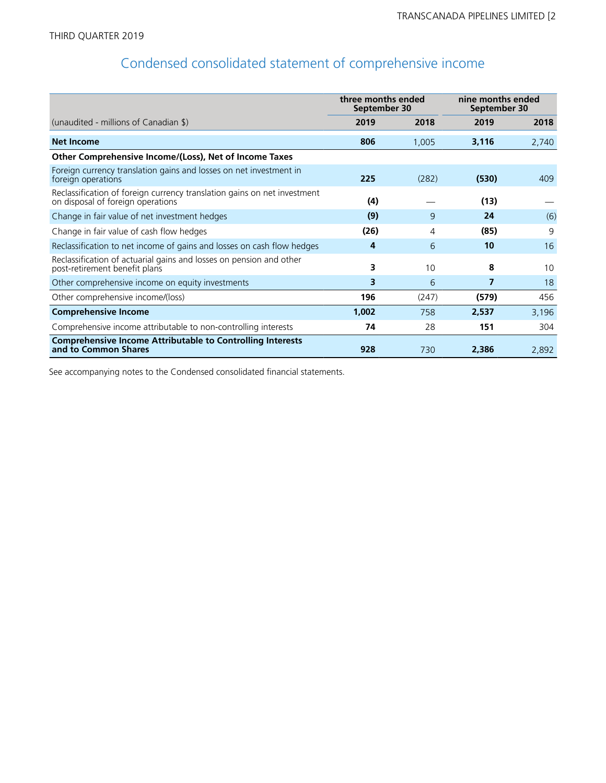## Condensed consolidated statement of comprehensive income

|                                                                                                               | three months ended<br>September 30 |       | nine months ended<br>September 30 |       |  |
|---------------------------------------------------------------------------------------------------------------|------------------------------------|-------|-----------------------------------|-------|--|
| (unaudited - millions of Canadian \$)                                                                         | 2019                               | 2018  | 2019                              | 2018  |  |
| <b>Net Income</b>                                                                                             | 806                                | 1,005 | 3,116                             | 2,740 |  |
| Other Comprehensive Income/(Loss), Net of Income Taxes                                                        |                                    |       |                                   |       |  |
| Foreign currency translation gains and losses on net investment in<br>foreign operations                      | 225                                | (282) | (530)                             | 409   |  |
| Reclassification of foreign currency translation gains on net investment<br>on disposal of foreign operations | (4)                                |       | (13)                              |       |  |
| Change in fair value of net investment hedges                                                                 | (9)                                | 9     | 24                                | (6)   |  |
| Change in fair value of cash flow hedges                                                                      | (26)                               | 4     | (85)                              | 9     |  |
| Reclassification to net income of gains and losses on cash flow hedges                                        | 4                                  | 6     | 10                                | 16    |  |
| Reclassification of actuarial gains and losses on pension and other<br>post-retirement benefit plans          | 3                                  | 10    | 8                                 | 10    |  |
| Other comprehensive income on equity investments                                                              | 3                                  | 6     | 7                                 | 18    |  |
| Other comprehensive income/(loss)                                                                             | 196                                | (247) | (579)                             | 456   |  |
| <b>Comprehensive Income</b>                                                                                   | 1,002                              | 758   | 2,537                             | 3,196 |  |
| Comprehensive income attributable to non-controlling interests                                                | 74                                 | 28    | 151                               | 304   |  |
| <b>Comprehensive Income Attributable to Controlling Interests</b><br>and to Common Shares                     | 928                                | 730   | 2,386                             | 2,892 |  |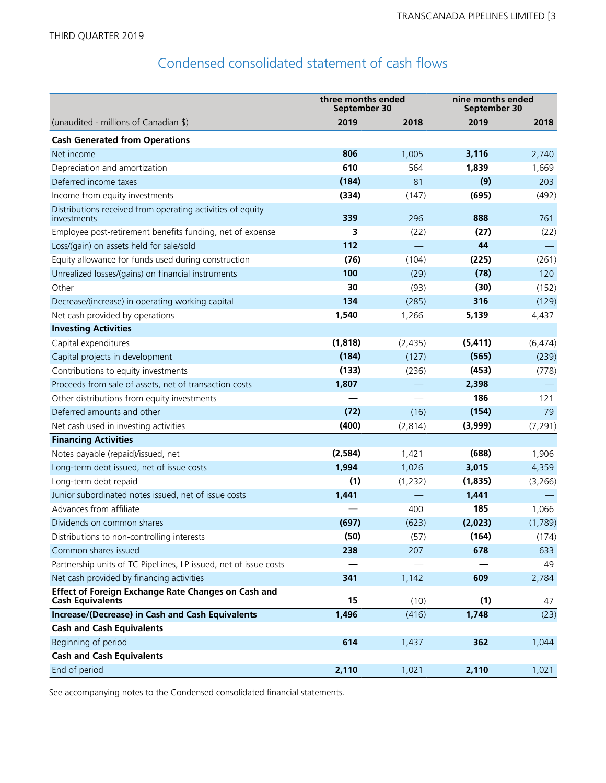## Condensed consolidated statement of cash flows

|                                                                                       | three months ended<br>September 30 |          | nine months ended<br>September 30 |          |  |
|---------------------------------------------------------------------------------------|------------------------------------|----------|-----------------------------------|----------|--|
| (unaudited - millions of Canadian \$)                                                 | 2019                               | 2018     | 2019                              | 2018     |  |
| <b>Cash Generated from Operations</b>                                                 |                                    |          |                                   |          |  |
| Net income                                                                            | 806                                | 1,005    | 3,116                             | 2,740    |  |
| Depreciation and amortization                                                         | 610                                | 564      | 1,839                             | 1,669    |  |
| Deferred income taxes                                                                 | (184)                              | 81       | (9)                               | 203      |  |
| Income from equity investments                                                        | (334)                              | (147)    | (695)                             | (492)    |  |
| Distributions received from operating activities of equity<br>investments             | 339                                | 296      | 888                               | 761      |  |
| Employee post-retirement benefits funding, net of expense                             | 3                                  | (22)     | (27)                              | (22)     |  |
| Loss/(gain) on assets held for sale/sold                                              | 112                                |          | 44                                |          |  |
| Equity allowance for funds used during construction                                   | (76)                               | (104)    | (225)                             | (261)    |  |
| Unrealized losses/(gains) on financial instruments                                    | 100                                | (29)     | (78)                              | 120      |  |
| Other                                                                                 | 30                                 | (93)     | (30)                              | (152)    |  |
| Decrease/(increase) in operating working capital                                      | 134                                | (285)    | 316                               | (129)    |  |
| Net cash provided by operations                                                       | 1,540                              | 1,266    | 5,139                             | 4,437    |  |
| <b>Investing Activities</b>                                                           |                                    |          |                                   |          |  |
| Capital expenditures                                                                  | (1, 818)                           | (2, 435) | (5, 411)                          | (6, 474) |  |
| Capital projects in development                                                       | (184)                              | (127)    | (565)                             | (239)    |  |
| Contributions to equity investments                                                   | (133)                              | (236)    | (453)                             | (778)    |  |
| Proceeds from sale of assets, net of transaction costs                                | 1,807                              |          | 2,398                             |          |  |
| Other distributions from equity investments                                           |                                    |          | 186                               | 121      |  |
| Deferred amounts and other                                                            | (72)                               | (16)     | (154)                             | 79       |  |
| Net cash used in investing activities                                                 | (400)                              | (2,814)  | (3,999)                           | (7, 291) |  |
| <b>Financing Activities</b>                                                           |                                    |          |                                   |          |  |
| Notes payable (repaid)/issued, net                                                    | (2,584)                            | 1,421    | (688)                             | 1,906    |  |
| Long-term debt issued, net of issue costs                                             | 1,994                              | 1,026    | 3,015                             | 4,359    |  |
| Long-term debt repaid                                                                 | (1)                                | (1, 232) | (1,835)                           | (3,266)  |  |
| Junior subordinated notes issued, net of issue costs                                  | 1,441                              |          | 1,441                             |          |  |
| Advances from affiliate                                                               |                                    | 400      | 185                               | 1,066    |  |
| Dividends on common shares                                                            | (697)                              | (623)    | (2,023)                           | (1,789)  |  |
| Distributions to non-controlling interests                                            | (50)                               | (57)     | (164)                             | (174)    |  |
| Common shares issued                                                                  | 238                                | 207      | 678                               | 633      |  |
| Partnership units of TC PipeLines, LP issued, net of issue costs                      |                                    |          |                                   | 49       |  |
| Net cash provided by financing activities                                             | 341                                | 1,142    | 609                               | 2,784    |  |
| <b>Effect of Foreign Exchange Rate Changes on Cash and</b><br><b>Cash Equivalents</b> | 15                                 | (10)     | (1)                               | 47       |  |
| <b>Increase/(Decrease) in Cash and Cash Equivalents</b>                               | 1,496                              | (416)    | 1,748                             | (23)     |  |
| <b>Cash and Cash Equivalents</b>                                                      |                                    |          |                                   |          |  |
| Beginning of period                                                                   | 614                                | 1,437    | 362                               | 1,044    |  |
| <b>Cash and Cash Equivalents</b>                                                      |                                    |          |                                   |          |  |
| End of period                                                                         | 2,110                              | 1,021    | 2,110                             | 1,021    |  |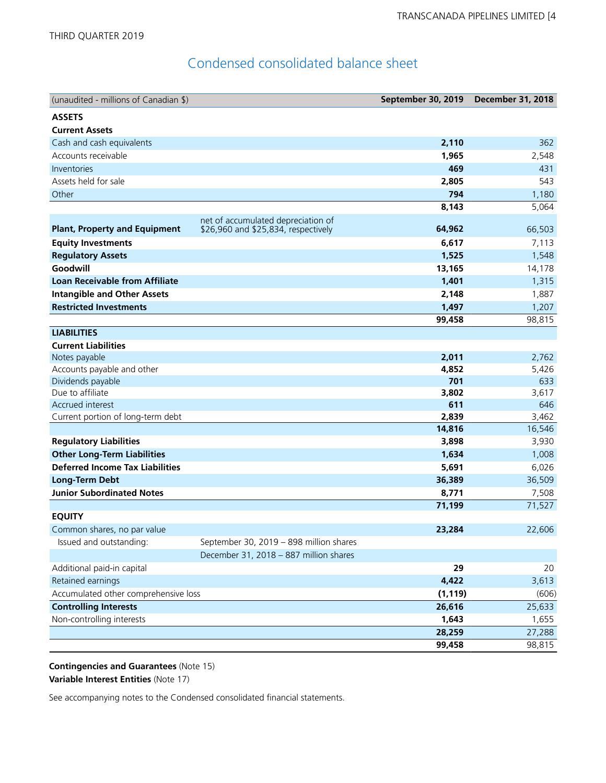## Condensed consolidated balance sheet

| (unaudited - millions of Canadian \$)  |                                         | September 30, 2019 | <b>December 31, 2018</b> |
|----------------------------------------|-----------------------------------------|--------------------|--------------------------|
| <b>ASSETS</b>                          |                                         |                    |                          |
| <b>Current Assets</b>                  |                                         |                    |                          |
| Cash and cash equivalents              |                                         | 2,110              | 362                      |
| Accounts receivable                    |                                         | 1,965              | 2,548                    |
| Inventories                            |                                         | 469                | 431                      |
| Assets held for sale                   |                                         | 2,805              | 543                      |
| Other                                  |                                         | 794                | 1,180                    |
|                                        |                                         | 8,143              | 5,064                    |
|                                        | net of accumulated depreciation of      |                    |                          |
| <b>Plant, Property and Equipment</b>   | \$26,960 and \$25,834, respectively     | 64,962             | 66,503                   |
| <b>Equity Investments</b>              |                                         | 6,617              | 7,113                    |
| <b>Regulatory Assets</b>               |                                         | 1,525              | 1,548                    |
| Goodwill                               |                                         | 13,165             | 14,178                   |
| <b>Loan Receivable from Affiliate</b>  |                                         | 1,401              | 1,315                    |
| <b>Intangible and Other Assets</b>     |                                         | 2,148              | 1,887                    |
| <b>Restricted Investments</b>          |                                         | 1,497              | 1,207                    |
|                                        |                                         | 99,458             | 98,815                   |
| <b>LIABILITIES</b>                     |                                         |                    |                          |
| <b>Current Liabilities</b>             |                                         |                    |                          |
| Notes payable                          |                                         | 2,011              | 2,762                    |
| Accounts payable and other             |                                         | 4,852              | 5,426                    |
| Dividends payable                      |                                         | 701                | 633                      |
| Due to affiliate                       |                                         | 3,802              | 3,617                    |
| Accrued interest                       |                                         | 611                | 646                      |
| Current portion of long-term debt      |                                         | 2,839<br>14,816    | 3,462<br>16,546          |
| <b>Regulatory Liabilities</b>          |                                         | 3,898              | 3,930                    |
| <b>Other Long-Term Liabilities</b>     |                                         | 1,634              | 1,008                    |
| <b>Deferred Income Tax Liabilities</b> |                                         | 5,691              | 6,026                    |
| <b>Long-Term Debt</b>                  |                                         | 36,389             | 36,509                   |
| <b>Junior Subordinated Notes</b>       |                                         | 8,771              | 7,508                    |
|                                        |                                         | 71,199             | 71,527                   |
| <b>EQUITY</b>                          |                                         |                    |                          |
| Common shares, no par value            |                                         | 23,284             | 22,606                   |
| Issued and outstanding:                | September 30, 2019 - 898 million shares |                    |                          |
|                                        | December 31, 2018 - 887 million shares  |                    |                          |
| Additional paid-in capital             |                                         | 29                 | 20                       |
| Retained earnings                      |                                         | 4,422              | 3,613                    |
| Accumulated other comprehensive loss   |                                         | (1, 119)           | (606)                    |
| <b>Controlling Interests</b>           |                                         | 26,616             | 25,633                   |
| Non-controlling interests              |                                         | 1,643              | 1,655                    |
|                                        |                                         | 28,259             | 27,288                   |
|                                        |                                         | 99,458             | 98,815                   |

**Contingencies and Guarantees** (Note 15) **Variable Interest Entities** (Note 17)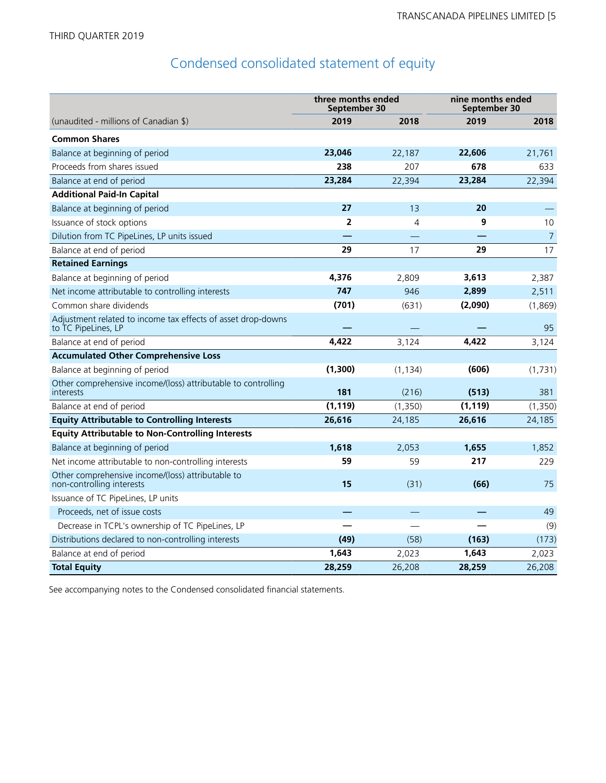## Condensed consolidated statement of equity

|                                                                                     | three months ended<br>September 30 |          |          | nine months ended<br>September 30 |  |
|-------------------------------------------------------------------------------------|------------------------------------|----------|----------|-----------------------------------|--|
| (unaudited - millions of Canadian \$)                                               | 2019                               | 2018     | 2019     | 2018                              |  |
| <b>Common Shares</b>                                                                |                                    |          |          |                                   |  |
| Balance at beginning of period                                                      | 23,046                             | 22,187   | 22,606   | 21,761                            |  |
| Proceeds from shares issued                                                         | 238                                | 207      | 678      | 633                               |  |
| Balance at end of period                                                            | 23,284                             | 22,394   | 23,284   | 22,394                            |  |
| <b>Additional Paid-In Capital</b>                                                   |                                    |          |          |                                   |  |
| Balance at beginning of period                                                      | 27                                 | 13       | 20       |                                   |  |
| Issuance of stock options                                                           | $\overline{2}$                     | 4        | 9        | 10                                |  |
| Dilution from TC PipeLines, LP units issued                                         |                                    |          |          | $\overline{7}$                    |  |
| Balance at end of period                                                            | 29                                 | 17       | 29       | 17                                |  |
| <b>Retained Earnings</b>                                                            |                                    |          |          |                                   |  |
| Balance at beginning of period                                                      | 4,376                              | 2,809    | 3,613    | 2,387                             |  |
| Net income attributable to controlling interests                                    | 747                                | 946      | 2,899    | 2,511                             |  |
| Common share dividends                                                              | (701)                              | (631)    | (2,090)  | (1,869)                           |  |
| Adjustment related to income tax effects of asset drop-downs<br>to TC PipeLines, LP |                                    |          |          | 95                                |  |
| Balance at end of period                                                            | 4.422                              | 3,124    | 4,422    | 3,124                             |  |
| <b>Accumulated Other Comprehensive Loss</b>                                         |                                    |          |          |                                   |  |
| Balance at beginning of period                                                      | (1,300)                            | (1, 134) | (606)    | (1,731)                           |  |
| Other comprehensive income/(loss) attributable to controlling<br>interests          | 181                                | (216)    | (513)    | 381                               |  |
| Balance at end of period                                                            | (1, 119)                           | (1,350)  | (1, 119) | (1,350)                           |  |
| <b>Equity Attributable to Controlling Interests</b>                                 | 26,616                             | 24,185   | 26,616   | 24,185                            |  |
| <b>Equity Attributable to Non-Controlling Interests</b>                             |                                    |          |          |                                   |  |
| Balance at beginning of period                                                      | 1,618                              | 2,053    | 1,655    | 1,852                             |  |
| Net income attributable to non-controlling interests                                | 59                                 | 59       | 217      | 229                               |  |
| Other comprehensive income/(loss) attributable to<br>non-controlling interests      | 15                                 | (31)     | (66)     | 75                                |  |
| Issuance of TC PipeLines, LP units                                                  |                                    |          |          |                                   |  |
| Proceeds, net of issue costs                                                        |                                    |          |          | 49                                |  |
| Decrease in TCPL's ownership of TC PipeLines, LP                                    |                                    |          |          | (9)                               |  |
| Distributions declared to non-controlling interests                                 | (49)                               | (58)     | (163)    | (173)                             |  |
| Balance at end of period                                                            | 1,643                              | 2,023    | 1,643    | 2,023                             |  |
| <b>Total Equity</b>                                                                 | 28,259                             | 26,208   | 28,259   | 26,208                            |  |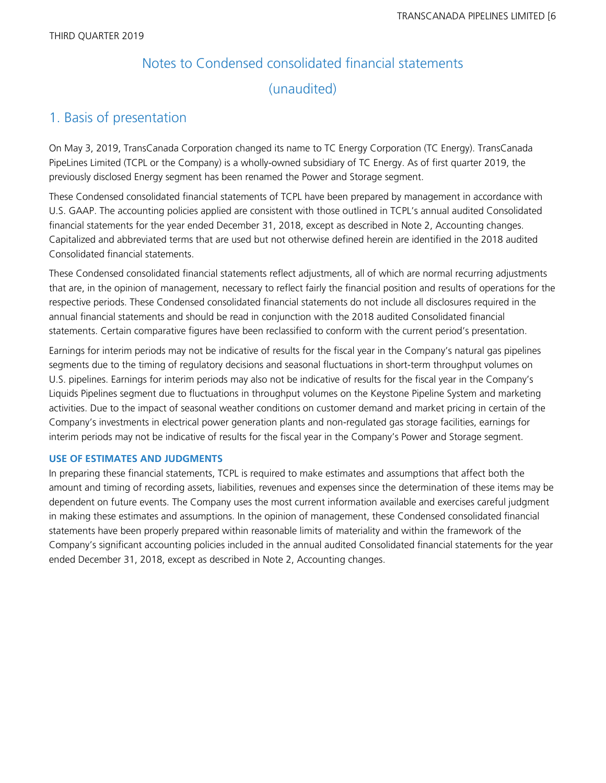# Notes to Condensed consolidated financial statements (unaudited)

### 1. Basis of presentation

On May 3, 2019, TransCanada Corporation changed its name to TC Energy Corporation (TC Energy). TransCanada PipeLines Limited (TCPL or the Company) is a wholly-owned subsidiary of TC Energy. As of first quarter 2019, the previously disclosed Energy segment has been renamed the Power and Storage segment.

These Condensed consolidated financial statements of TCPL have been prepared by management in accordance with U.S. GAAP. The accounting policies applied are consistent with those outlined in TCPL's annual audited Consolidated financial statements for the year ended December 31, 2018, except as described in Note 2, Accounting changes. Capitalized and abbreviated terms that are used but not otherwise defined herein are identified in the 2018 audited Consolidated financial statements.

These Condensed consolidated financial statements reflect adjustments, all of which are normal recurring adjustments that are, in the opinion of management, necessary to reflect fairly the financial position and results of operations for the respective periods. These Condensed consolidated financial statements do not include all disclosures required in the annual financial statements and should be read in conjunction with the 2018 audited Consolidated financial statements. Certain comparative figures have been reclassified to conform with the current period's presentation.

Earnings for interim periods may not be indicative of results for the fiscal year in the Company's natural gas pipelines segments due to the timing of regulatory decisions and seasonal fluctuations in short-term throughput volumes on U.S. pipelines. Earnings for interim periods may also not be indicative of results for the fiscal year in the Company's Liquids Pipelines segment due to fluctuations in throughput volumes on the Keystone Pipeline System and marketing activities. Due to the impact of seasonal weather conditions on customer demand and market pricing in certain of the Company's investments in electrical power generation plants and non-regulated gas storage facilities, earnings for interim periods may not be indicative of results for the fiscal year in the Company's Power and Storage segment.

### **USE OF ESTIMATES AND JUDGMENTS**

In preparing these financial statements, TCPL is required to make estimates and assumptions that affect both the amount and timing of recording assets, liabilities, revenues and expenses since the determination of these items may be dependent on future events. The Company uses the most current information available and exercises careful judgment in making these estimates and assumptions. In the opinion of management, these Condensed consolidated financial statements have been properly prepared within reasonable limits of materiality and within the framework of the Company's significant accounting policies included in the annual audited Consolidated financial statements for the year ended December 31, 2018, except as described in Note 2, Accounting changes.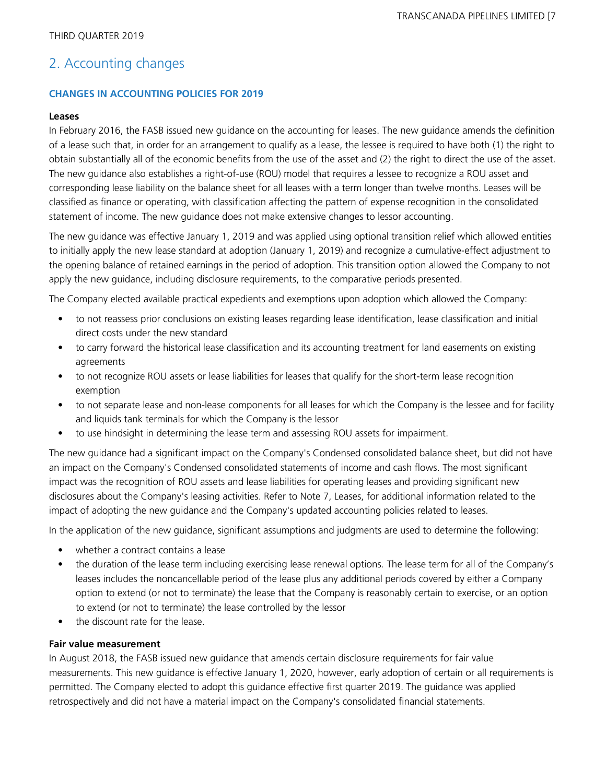## 2. Accounting changes

### **CHANGES IN ACCOUNTING POLICIES FOR 2019**

### **Leases**

In February 2016, the FASB issued new guidance on the accounting for leases. The new guidance amends the definition of a lease such that, in order for an arrangement to qualify as a lease, the lessee is required to have both (1) the right to obtain substantially all of the economic benefits from the use of the asset and (2) the right to direct the use of the asset. The new guidance also establishes a right-of-use (ROU) model that requires a lessee to recognize a ROU asset and corresponding lease liability on the balance sheet for all leases with a term longer than twelve months. Leases will be classified as finance or operating, with classification affecting the pattern of expense recognition in the consolidated statement of income. The new guidance does not make extensive changes to lessor accounting.

The new guidance was effective January 1, 2019 and was applied using optional transition relief which allowed entities to initially apply the new lease standard at adoption (January 1, 2019) and recognize a cumulative-effect adjustment to the opening balance of retained earnings in the period of adoption. This transition option allowed the Company to not apply the new guidance, including disclosure requirements, to the comparative periods presented.

The Company elected available practical expedients and exemptions upon adoption which allowed the Company:

- to not reassess prior conclusions on existing leases regarding lease identification, lease classification and initial direct costs under the new standard
- to carry forward the historical lease classification and its accounting treatment for land easements on existing agreements
- to not recognize ROU assets or lease liabilities for leases that qualify for the short-term lease recognition exemption
- to not separate lease and non-lease components for all leases for which the Company is the lessee and for facility and liquids tank terminals for which the Company is the lessor
- to use hindsight in determining the lease term and assessing ROU assets for impairment.

The new guidance had a significant impact on the Company's Condensed consolidated balance sheet, but did not have an impact on the Company's Condensed consolidated statements of income and cash flows. The most significant impact was the recognition of ROU assets and lease liabilities for operating leases and providing significant new disclosures about the Company's leasing activities. Refer to Note 7, Leases, for additional information related to the impact of adopting the new guidance and the Company's updated accounting policies related to leases.

In the application of the new guidance, significant assumptions and judgments are used to determine the following:

- whether a contract contains a lease
- the duration of the lease term including exercising lease renewal options. The lease term for all of the Company's leases includes the noncancellable period of the lease plus any additional periods covered by either a Company option to extend (or not to terminate) the lease that the Company is reasonably certain to exercise, or an option to extend (or not to terminate) the lease controlled by the lessor
- the discount rate for the lease.

### **Fair value measurement**

In August 2018, the FASB issued new guidance that amends certain disclosure requirements for fair value measurements. This new guidance is effective January 1, 2020, however, early adoption of certain or all requirements is permitted. The Company elected to adopt this guidance effective first quarter 2019. The guidance was applied retrospectively and did not have a material impact on the Company's consolidated financial statements.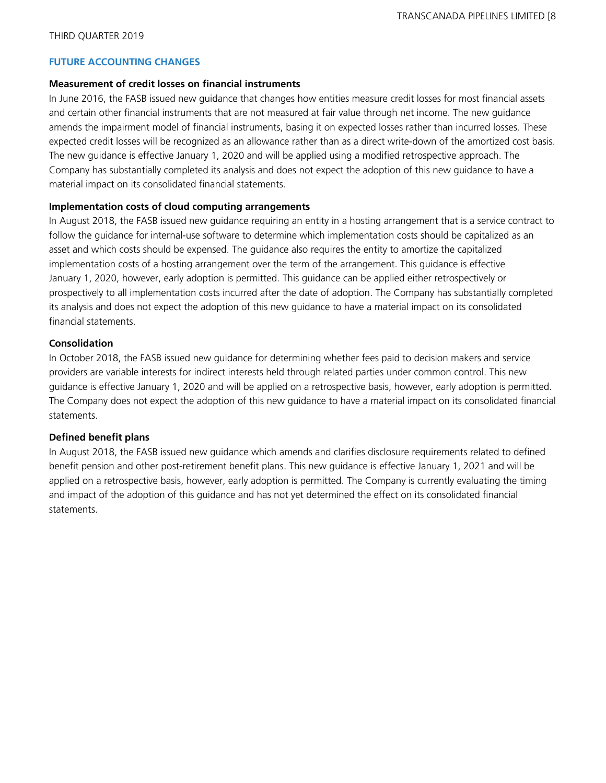### **FUTURE ACCOUNTING CHANGES**

### **Measurement of credit losses on financial instruments**

In June 2016, the FASB issued new guidance that changes how entities measure credit losses for most financial assets and certain other financial instruments that are not measured at fair value through net income. The new guidance amends the impairment model of financial instruments, basing it on expected losses rather than incurred losses. These expected credit losses will be recognized as an allowance rather than as a direct write-down of the amortized cost basis. The new guidance is effective January 1, 2020 and will be applied using a modified retrospective approach. The Company has substantially completed its analysis and does not expect the adoption of this new guidance to have a material impact on its consolidated financial statements.

### **Implementation costs of cloud computing arrangements**

In August 2018, the FASB issued new guidance requiring an entity in a hosting arrangement that is a service contract to follow the guidance for internal-use software to determine which implementation costs should be capitalized as an asset and which costs should be expensed. The guidance also requires the entity to amortize the capitalized implementation costs of a hosting arrangement over the term of the arrangement. This guidance is effective January 1, 2020, however, early adoption is permitted. This guidance can be applied either retrospectively or prospectively to all implementation costs incurred after the date of adoption. The Company has substantially completed its analysis and does not expect the adoption of this new guidance to have a material impact on its consolidated financial statements.

### **Consolidation**

In October 2018, the FASB issued new guidance for determining whether fees paid to decision makers and service providers are variable interests for indirect interests held through related parties under common control. This new guidance is effective January 1, 2020 and will be applied on a retrospective basis, however, early adoption is permitted. The Company does not expect the adoption of this new guidance to have a material impact on its consolidated financial statements.

### **Defined benefit plans**

In August 2018, the FASB issued new guidance which amends and clarifies disclosure requirements related to defined benefit pension and other post-retirement benefit plans. This new guidance is effective January 1, 2021 and will be applied on a retrospective basis, however, early adoption is permitted. The Company is currently evaluating the timing and impact of the adoption of this guidance and has not yet determined the effect on its consolidated financial statements.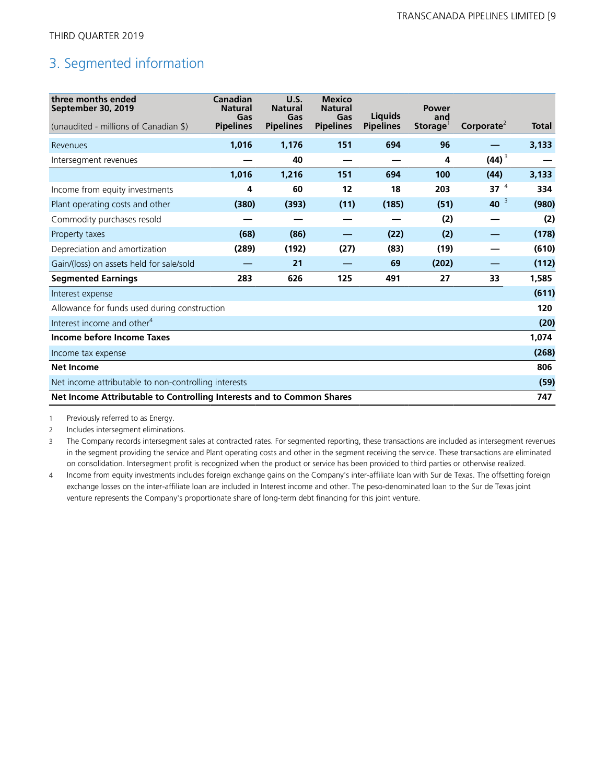## 3. Segmented information

| three months ended<br>September 30, 2019<br>(unaudited - millions of Canadian \$) | Canadian<br><b>Natural</b><br>Gas<br><b>Pipelines</b> | U.S.<br><b>Natural</b><br>Gas<br><b>Pipelines</b> | <b>Mexico</b><br><b>Natural</b><br>Gas<br><b>Pipelines</b> | Liquids<br><b>Pipelines</b> | <b>Power</b><br>and<br>Storage | Corporate <sup>2</sup> | <b>Total</b> |
|-----------------------------------------------------------------------------------|-------------------------------------------------------|---------------------------------------------------|------------------------------------------------------------|-----------------------------|--------------------------------|------------------------|--------------|
| Revenues                                                                          | 1,016                                                 | 1,176                                             | 151                                                        | 694                         | 96                             |                        | 3,133        |
| Intersegment revenues                                                             |                                                       | 40                                                |                                                            |                             | 4                              | $(44)^3$               |              |
|                                                                                   | 1,016                                                 | 1,216                                             | 151                                                        | 694                         | 100                            | (44)                   | 3,133        |
| Income from equity investments                                                    | 4                                                     | 60                                                | 12                                                         | 18                          | 203                            | 37 $4$                 | 334          |
| Plant operating costs and other                                                   | (380)                                                 | (393)                                             | (11)                                                       | (185)                       | (51)                           | $40^{3}$               | (980)        |
| Commodity purchases resold                                                        |                                                       |                                                   |                                                            |                             | (2)                            |                        | (2)          |
| Property taxes                                                                    | (68)                                                  | (86)                                              |                                                            | (22)                        | (2)                            |                        | (178)        |
| Depreciation and amortization                                                     | (289)                                                 | (192)                                             | (27)                                                       | (83)                        | (19)                           |                        | (610)        |
| Gain/(loss) on assets held for sale/sold                                          |                                                       | 21                                                |                                                            | 69                          | (202)                          |                        | (112)        |
| <b>Segmented Earnings</b>                                                         | 283                                                   | 626                                               | 125                                                        | 491                         | 27                             | 33                     | 1,585        |
| Interest expense                                                                  |                                                       |                                                   |                                                            |                             |                                |                        | (611)        |
| Allowance for funds used during construction                                      |                                                       |                                                   |                                                            |                             |                                |                        | 120          |
| Interest income and other <sup>4</sup>                                            |                                                       |                                                   |                                                            |                             |                                |                        | (20)         |
| Income before Income Taxes                                                        |                                                       |                                                   |                                                            |                             |                                |                        | 1,074        |
| Income tax expense                                                                |                                                       |                                                   |                                                            |                             |                                |                        | (268)        |
| <b>Net Income</b>                                                                 |                                                       |                                                   |                                                            |                             |                                |                        | 806          |
| Net income attributable to non-controlling interests                              |                                                       |                                                   |                                                            |                             |                                |                        | (59)         |
| Net Income Attributable to Controlling Interests and to Common Shares             |                                                       |                                                   |                                                            |                             |                                |                        |              |

1 Previously referred to as Energy.

2 Includes intersegment eliminations.

3 The Company records intersegment sales at contracted rates. For segmented reporting, these transactions are included as intersegment revenues in the segment providing the service and Plant operating costs and other in the segment receiving the service. These transactions are eliminated on consolidation. Intersegment profit is recognized when the product or service has been provided to third parties or otherwise realized.

4 Income from equity investments includes foreign exchange gains on the Company's inter-affiliate loan with Sur de Texas. The offsetting foreign exchange losses on the inter-affiliate loan are included in Interest income and other. The peso-denominated loan to the Sur de Texas joint venture represents the Company's proportionate share of long-term debt financing for this joint venture.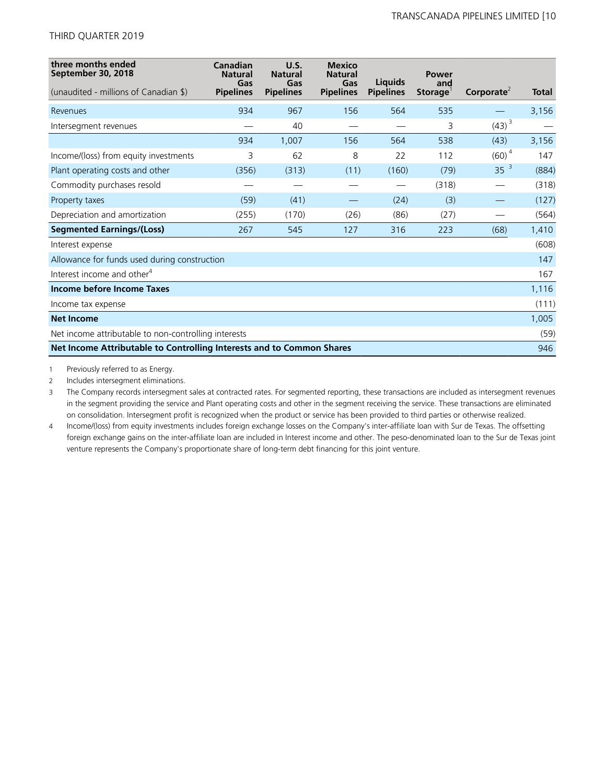| three months ended<br>September 30, 2018                              | Canadian<br><b>Natural</b><br>Gas | U.S.<br><b>Natural</b><br>Gas | <b>Mexico</b><br><b>Natural</b><br>Gas | Liguids          | <b>Power</b><br>and  |                                     |       |
|-----------------------------------------------------------------------|-----------------------------------|-------------------------------|----------------------------------------|------------------|----------------------|-------------------------------------|-------|
| (unaudited - millions of Canadian \$)                                 | <b>Pipelines</b>                  | <b>Pipelines</b>              | <b>Pipelines</b>                       | <b>Pipelines</b> | Storage <sup>®</sup> | Corporate <sup><math>2</math></sup> | Total |
| Revenues                                                              | 934                               | 967                           | 156                                    | 564              | 535                  |                                     | 3,156 |
| Intersegment revenues                                                 |                                   | 40                            |                                        |                  | 3                    | $(43)^{3}$                          |       |
|                                                                       | 934                               | 1,007                         | 156                                    | 564              | 538                  | (43)                                | 3,156 |
| Income/(loss) from equity investments                                 | 3                                 | 62                            | 8                                      | 22               | 112                  | $(60)^4$                            | 147   |
| Plant operating costs and other                                       | (356)                             | (313)                         | (11)                                   | (160)            | (79)                 | 35 <sup>3</sup>                     | (884) |
| Commodity purchases resold                                            |                                   |                               |                                        |                  | (318)                |                                     | (318) |
| Property taxes                                                        | (59)                              | (41)                          |                                        | (24)             | (3)                  |                                     | (127) |
| Depreciation and amortization                                         | (255)                             | (170)                         | (26)                                   | (86)             | (27)                 |                                     | (564) |
| <b>Segmented Earnings/(Loss)</b>                                      | 267                               | 545                           | 127                                    | 316              | 223                  | (68)                                | 1,410 |
| Interest expense                                                      |                                   |                               |                                        |                  |                      |                                     | (608) |
| Allowance for funds used during construction                          |                                   |                               |                                        |                  |                      |                                     | 147   |
| Interest income and other <sup>4</sup>                                |                                   |                               |                                        |                  |                      |                                     | 167   |
| Income before Income Taxes                                            |                                   |                               |                                        |                  |                      |                                     | 1,116 |
| Income tax expense                                                    |                                   |                               |                                        |                  |                      |                                     | (111) |
| <b>Net Income</b>                                                     |                                   |                               |                                        |                  |                      |                                     | 1,005 |
| Net income attributable to non-controlling interests                  |                                   |                               |                                        |                  |                      |                                     | (59)  |
| Net Income Attributable to Controlling Interests and to Common Shares |                                   |                               |                                        |                  |                      |                                     | 946   |

1 Previously referred to as Energy.

2 Includes intersegment eliminations.

3 The Company records intersegment sales at contracted rates. For segmented reporting, these transactions are included as intersegment revenues in the segment providing the service and Plant operating costs and other in the segment receiving the service. These transactions are eliminated on consolidation. Intersegment profit is recognized when the product or service has been provided to third parties or otherwise realized.

4 Income/(loss) from equity investments includes foreign exchange losses on the Company's inter-affiliate loan with Sur de Texas. The offsetting foreign exchange gains on the inter-affiliate loan are included in Interest income and other. The peso-denominated loan to the Sur de Texas joint venture represents the Company's proportionate share of long-term debt financing for this joint venture.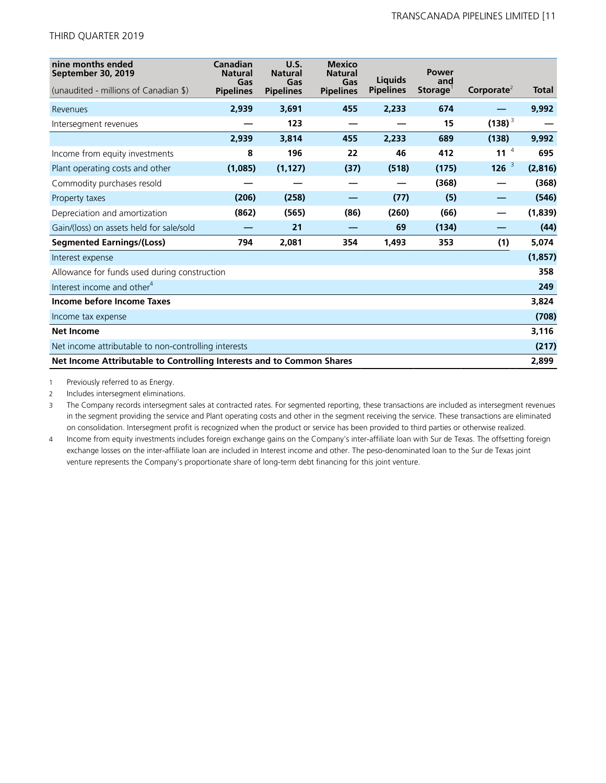| nine months ended<br>September 30, 2019                               | Canadian<br><b>Natural</b><br>Gas | U.S.<br><b>Natural</b><br>Gas | <b>Mexico</b><br><b>Natural</b><br>Gas | Liquids          | <b>Power</b><br>and  |                        |              |
|-----------------------------------------------------------------------|-----------------------------------|-------------------------------|----------------------------------------|------------------|----------------------|------------------------|--------------|
| (unaudited - millions of Canadian \$)                                 | <b>Pipelines</b>                  | <b>Pipelines</b>              | <b>Pipelines</b>                       | <b>Pipelines</b> | Storage <sup>1</sup> | Corporate <sup>2</sup> | <b>Total</b> |
| Revenues                                                              | 2,939                             | 3,691                         | 455                                    | 2,233            | 674                  |                        | 9,992        |
| Intersegment revenues                                                 |                                   | 123                           |                                        |                  | 15                   | $(138)^{3}$            |              |
|                                                                       | 2,939                             | 3,814                         | 455                                    | 2,233            | 689                  | (138)                  | 9,992        |
| Income from equity investments                                        | 8                                 | 196                           | 22                                     | 46               | 412                  | 11 $4$                 | 695          |
| Plant operating costs and other                                       | (1,085)                           | (1, 127)                      | (37)                                   | (518)            | (175)                | $126^{3}$              | (2,816)      |
| Commodity purchases resold                                            |                                   |                               | _                                      |                  | (368)                |                        | (368)        |
| Property taxes                                                        | (206)                             | (258)                         |                                        | (77)             | (5)                  |                        | (546)        |
| Depreciation and amortization                                         | (862)                             | (565)                         | (86)                                   | (260)            | (66)                 | —                      | (1,839)      |
| Gain/(loss) on assets held for sale/sold                              |                                   | 21                            |                                        | 69               | (134)                |                        | (44)         |
| <b>Segmented Earnings/(Loss)</b>                                      | 794                               | 2,081                         | 354                                    | 1,493            | 353                  | (1)                    | 5,074        |
| Interest expense                                                      |                                   |                               |                                        |                  |                      |                        | (1, 857)     |
| Allowance for funds used during construction                          |                                   |                               |                                        |                  |                      |                        | 358          |
| Interest income and other <sup>4</sup>                                |                                   |                               |                                        |                  |                      |                        | 249          |
| Income before Income Taxes                                            |                                   |                               |                                        |                  |                      |                        | 3,824        |
| Income tax expense                                                    |                                   |                               |                                        |                  |                      |                        | (708)        |
| <b>Net Income</b>                                                     |                                   |                               |                                        |                  |                      |                        | 3,116        |
| Net income attributable to non-controlling interests                  |                                   |                               |                                        |                  |                      |                        | (217)        |
| Net Income Attributable to Controlling Interests and to Common Shares |                                   |                               |                                        |                  |                      |                        | 2,899        |

1 Previously referred to as Energy.

2 Includes intersegment eliminations.

3 The Company records intersegment sales at contracted rates. For segmented reporting, these transactions are included as intersegment revenues in the segment providing the service and Plant operating costs and other in the segment receiving the service. These transactions are eliminated on consolidation. Intersegment profit is recognized when the product or service has been provided to third parties or otherwise realized.

4 Income from equity investments includes foreign exchange gains on the Company's inter-affiliate loan with Sur de Texas. The offsetting foreign exchange losses on the inter-affiliate loan are included in Interest income and other. The peso-denominated loan to the Sur de Texas joint venture represents the Company's proportionate share of long-term debt financing for this joint venture.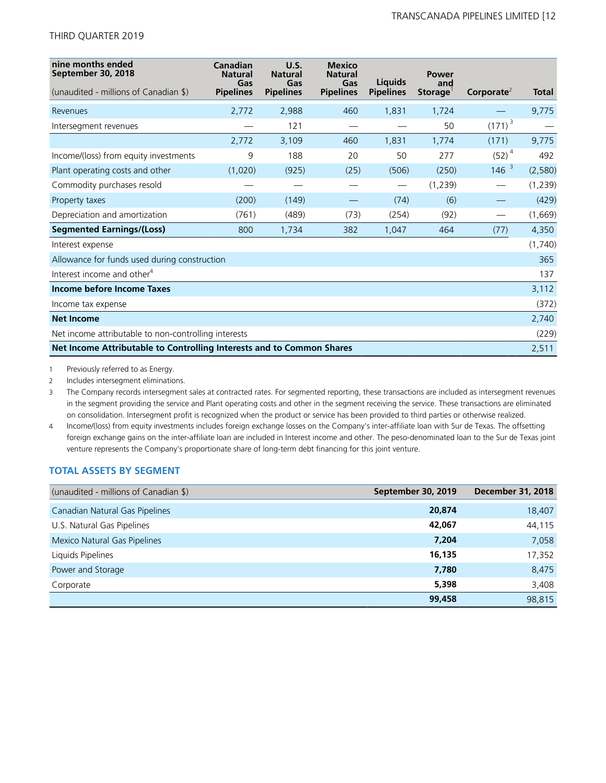| nine months ended<br>September 30, 2018                                        | Canadian<br><b>Natural</b><br>Gas | U.S.<br><b>Natural</b><br>Gas | <b>Mexico</b><br><b>Natural</b><br>Gas | Liquids          | <b>Power</b><br>and |                        |              |
|--------------------------------------------------------------------------------|-----------------------------------|-------------------------------|----------------------------------------|------------------|---------------------|------------------------|--------------|
| (unaudited - millions of Canadian \$)                                          | <b>Pipelines</b>                  | <b>Pipelines</b>              | <b>Pipelines</b>                       | <b>Pipelines</b> | Storage             | Corporate <sup>2</sup> | <b>Total</b> |
| Revenues                                                                       | 2,772                             | 2,988                         | 460                                    | 1,831            | 1,724               |                        | 9,775        |
| Intersegment revenues                                                          |                                   | 121                           |                                        |                  | 50                  | $(171)^{3}$            |              |
|                                                                                | 2,772                             | 3,109                         | 460                                    | 1,831            | 1,774               | (171)                  | 9,775        |
| Income/(loss) from equity investments                                          | 9                                 | 188                           | 20                                     | 50               | 277                 | $(52)^4$               | 492          |
| Plant operating costs and other                                                | (1,020)                           | (925)                         | (25)                                   | (506)            | (250)               | $146^{3}$              | (2,580)      |
| Commodity purchases resold                                                     |                                   |                               |                                        |                  | (1, 239)            |                        | (1, 239)     |
| Property taxes                                                                 | (200)                             | (149)                         |                                        | (74)             | (6)                 |                        | (429)        |
| Depreciation and amortization                                                  | (761)                             | (489)                         | (73)                                   | (254)            | (92)                |                        | (1,669)      |
| <b>Segmented Earnings/(Loss)</b>                                               | 800                               | 1,734                         | 382                                    | 1,047            | 464                 | (77)                   | 4,350        |
| Interest expense                                                               |                                   |                               |                                        |                  |                     |                        | (1,740)      |
| Allowance for funds used during construction                                   |                                   |                               |                                        |                  |                     |                        | 365          |
| Interest income and other <sup>4</sup>                                         |                                   |                               |                                        |                  |                     |                        | 137          |
| Income before Income Taxes                                                     |                                   |                               |                                        |                  |                     |                        | 3,112        |
| Income tax expense                                                             |                                   |                               |                                        |                  |                     |                        | (372)        |
| <b>Net Income</b>                                                              |                                   |                               |                                        |                  |                     |                        | 2,740        |
| Net income attributable to non-controlling interests                           |                                   |                               |                                        |                  |                     |                        | (229)        |
| Net Income Attributable to Controlling Interests and to Common Shares<br>2,511 |                                   |                               |                                        |                  |                     |                        |              |

1 Previously referred to as Energy.

2 Includes intersegment eliminations.

3 The Company records intersegment sales at contracted rates. For segmented reporting, these transactions are included as intersegment revenues in the segment providing the service and Plant operating costs and other in the segment receiving the service. These transactions are eliminated on consolidation. Intersegment profit is recognized when the product or service has been provided to third parties or otherwise realized.

4 Income/(loss) from equity investments includes foreign exchange losses on the Company's inter-affiliate loan with Sur de Texas. The offsetting foreign exchange gains on the inter-affiliate loan are included in Interest income and other. The peso-denominated loan to the Sur de Texas joint venture represents the Company's proportionate share of long-term debt financing for this joint venture.

### **TOTAL ASSETS BY SEGMENT**

| (unaudited - millions of Canadian \$) | September 30, 2019 | <b>December 31, 2018</b> |
|---------------------------------------|--------------------|--------------------------|
| Canadian Natural Gas Pipelines        | 20,874             | 18,407                   |
| U.S. Natural Gas Pipelines            | 42,067             | 44,115                   |
| Mexico Natural Gas Pipelines          | 7,204              | 7,058                    |
| Liquids Pipelines                     | 16,135             | 17,352                   |
| Power and Storage                     | 7,780              | 8,475                    |
| Corporate                             | 5,398              | 3,408                    |
|                                       | 99,458             | 98,815                   |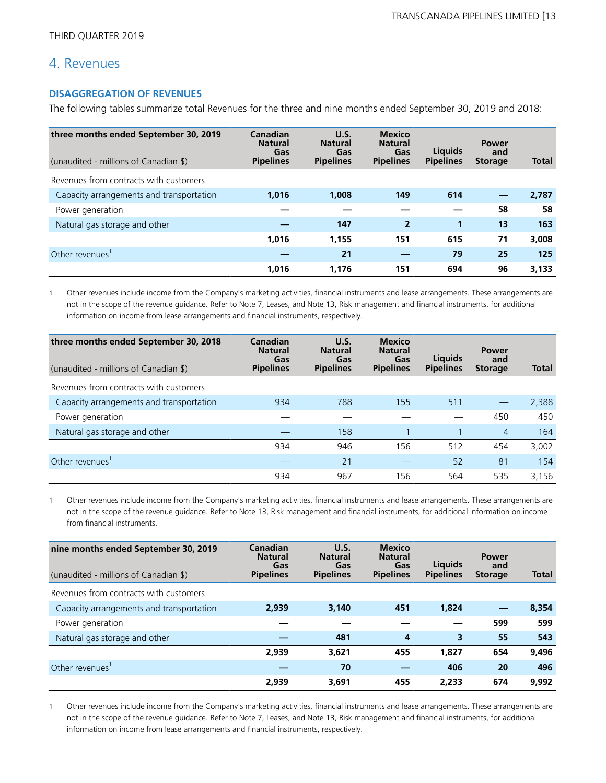### 4. Revenues

### **DISAGGREGATION OF REVENUES**

The following tables summarize total Revenues for the three and nine months ended September 30, 2019 and 2018:

| three months ended September 30, 2019<br>(unaudited - millions of Canadian \$) | Canadian<br><b>Natural</b><br>Gas<br><b>Pipelines</b> | U.S.<br><b>Natural</b><br>Gas<br><b>Pipelines</b> | <b>Mexico</b><br><b>Natural</b><br>Gas<br><b>Pipelines</b> | Liguids<br><b>Pipelines</b> | <b>Power</b><br>and<br><b>Storage</b> | <b>Total</b> |
|--------------------------------------------------------------------------------|-------------------------------------------------------|---------------------------------------------------|------------------------------------------------------------|-----------------------------|---------------------------------------|--------------|
| Revenues from contracts with customers                                         |                                                       |                                                   |                                                            |                             |                                       |              |
| Capacity arrangements and transportation                                       | 1.016                                                 | 1,008                                             | 149                                                        | 614                         |                                       | 2,787        |
| Power generation                                                               |                                                       |                                                   |                                                            |                             | 58                                    | 58           |
| Natural gas storage and other                                                  |                                                       | 147                                               | $\overline{2}$                                             | 1                           | 13                                    | 163          |
|                                                                                | 1,016                                                 | 1,155                                             | 151                                                        | 615                         | 71                                    | 3,008        |
| Other revenues                                                                 |                                                       | 21                                                |                                                            | 79                          | 25                                    | 125          |
|                                                                                | 1,016                                                 | 1.176                                             | 151                                                        | 694                         | 96                                    | 3,133        |

1 Other revenues include income from the Company's marketing activities, financial instruments and lease arrangements. These arrangements are not in the scope of the revenue guidance. Refer to Note 7, Leases, and Note 13, Risk management and financial instruments, for additional information on income from lease arrangements and financial instruments, respectively.

| three months ended September 30, 2018<br>(unaudited - millions of Canadian \$) | Canadian<br><b>Natural</b><br>Gas<br><b>Pipelines</b> | U.S.<br><b>Natural</b><br>Gas<br><b>Pipelines</b> | <b>Mexico</b><br><b>Natural</b><br>Gas<br><b>Pipelines</b> | <b>Liquids</b><br><b>Pipelines</b> | <b>Power</b><br>and<br><b>Storage</b> | <b>Total</b> |
|--------------------------------------------------------------------------------|-------------------------------------------------------|---------------------------------------------------|------------------------------------------------------------|------------------------------------|---------------------------------------|--------------|
| Revenues from contracts with customers                                         |                                                       |                                                   |                                                            |                                    |                                       |              |
| Capacity arrangements and transportation                                       | 934                                                   | 788                                               | 155                                                        | 511                                |                                       | 2,388        |
| Power generation                                                               |                                                       |                                                   |                                                            |                                    | 450                                   | 450          |
| Natural gas storage and other                                                  |                                                       | 158                                               |                                                            |                                    | $\overline{4}$                        | 164          |
|                                                                                | 934                                                   | 946                                               | 156                                                        | 512                                | 454                                   | 3,002        |
| Other revenues'                                                                |                                                       | 21                                                |                                                            | 52                                 | 81                                    | 154          |
|                                                                                | 934                                                   | 967                                               | 156                                                        | 564                                | 535                                   | 3.156        |

1 Other revenues include income from the Company's marketing activities, financial instruments and lease arrangements. These arrangements are not in the scope of the revenue guidance. Refer to Note 13, Risk management and financial instruments, for additional information on income from financial instruments.

| nine months ended September 30, 2019<br>(unaudited - millions of Canadian \$) | Canadian<br><b>Natural</b><br>Gas<br><b>Pipelines</b> | U.S.<br><b>Natural</b><br>Gas<br><b>Pipelines</b> | <b>Mexico</b><br><b>Natural</b><br>Gas<br><b>Pipelines</b> | Liquids<br><b>Pipelines</b> | <b>Power</b><br>and<br><b>Storage</b> | <b>Total</b> |
|-------------------------------------------------------------------------------|-------------------------------------------------------|---------------------------------------------------|------------------------------------------------------------|-----------------------------|---------------------------------------|--------------|
| Revenues from contracts with customers                                        |                                                       |                                                   |                                                            |                             |                                       |              |
| Capacity arrangements and transportation                                      | 2,939                                                 | 3,140                                             | 451                                                        | 1,824                       |                                       | 8,354        |
| Power generation                                                              |                                                       |                                                   |                                                            |                             | 599                                   | 599          |
| Natural gas storage and other                                                 |                                                       | 481                                               | 4                                                          | 3                           | 55                                    | 543          |
|                                                                               | 2,939                                                 | 3,621                                             | 455                                                        | 1,827                       | 654                                   | 9,496        |
| Other revenues <sup>1</sup>                                                   |                                                       | 70                                                |                                                            | 406                         | 20                                    | 496          |
|                                                                               | 2,939                                                 | 3,691                                             | 455                                                        | 2.233                       | 674                                   | 9,992        |

1 Other revenues include income from the Company's marketing activities, financial instruments and lease arrangements. These arrangements are not in the scope of the revenue guidance. Refer to Note 7, Leases, and Note 13, Risk management and financial instruments, for additional information on income from lease arrangements and financial instruments, respectively.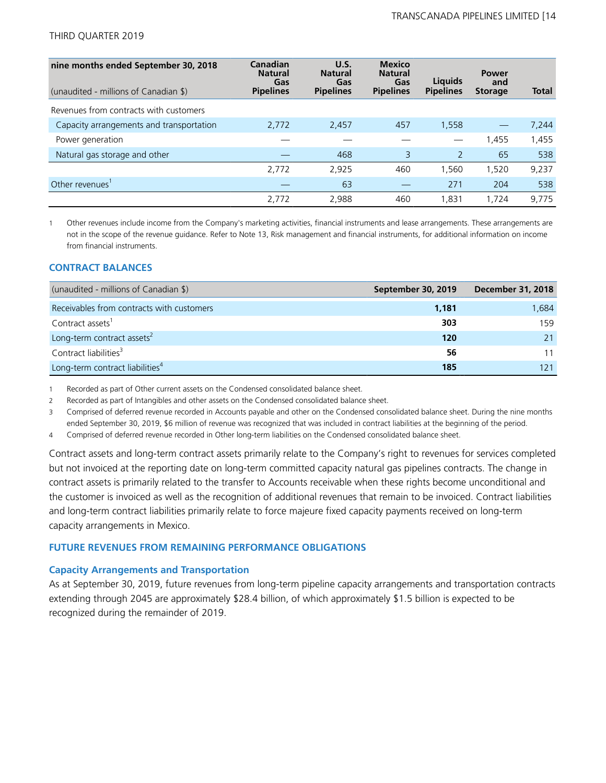| nine months ended September 30, 2018<br>(unaudited - millions of Canadian \$) | Canadian<br><b>Natural</b><br>Gas<br><b>Pipelines</b> | U.S.<br><b>Natural</b><br>Gas<br><b>Pipelines</b> | <b>Mexico</b><br><b>Natural</b><br>Gas<br><b>Pipelines</b> | <b>Liquids</b><br><b>Pipelines</b> | <b>Power</b><br>and<br><b>Storage</b> | <b>Total</b> |
|-------------------------------------------------------------------------------|-------------------------------------------------------|---------------------------------------------------|------------------------------------------------------------|------------------------------------|---------------------------------------|--------------|
| Revenues from contracts with customers                                        |                                                       |                                                   |                                                            |                                    |                                       |              |
| Capacity arrangements and transportation                                      | 2,772                                                 | 2,457                                             | 457                                                        | 1,558                              |                                       | 7,244        |
| Power generation                                                              |                                                       |                                                   |                                                            |                                    | 1,455                                 | 1,455        |
| Natural gas storage and other                                                 |                                                       | 468                                               | 3                                                          | 2                                  | 65                                    | 538          |
|                                                                               | 2,772                                                 | 2,925                                             | 460                                                        | 1.560                              | 1,520                                 | 9,237        |
| Other revenues'                                                               |                                                       | 63                                                |                                                            | 271                                | 204                                   | 538          |
|                                                                               | 2,772                                                 | 2,988                                             | 460                                                        | 1.831                              | 1.724                                 | 9,775        |

1 Other revenues include income from the Company's marketing activities, financial instruments and lease arrangements. These arrangements are not in the scope of the revenue guidance. Refer to Note 13, Risk management and financial instruments, for additional information on income from financial instruments.

### **CONTRACT BALANCES**

| (unaudited - millions of Canadian \$)       | September 30, 2019 | <b>December 31, 2018</b> |
|---------------------------------------------|--------------------|--------------------------|
| Receivables from contracts with customers   | 1,181              | 1,684                    |
| Contract assets <sup>1</sup>                | 303                | 159                      |
| Long-term contract assets <sup>2</sup>      | 120                |                          |
| Contract liabilities <sup>3</sup>           | 56                 |                          |
| Long-term contract liabilities <sup>4</sup> | 185                | 121                      |

1 Recorded as part of Other current assets on the Condensed consolidated balance sheet.

2 Recorded as part of Intangibles and other assets on the Condensed consolidated balance sheet.

3 Comprised of deferred revenue recorded in Accounts payable and other on the Condensed consolidated balance sheet. During the nine months ended September 30, 2019, \$6 million of revenue was recognized that was included in contract liabilities at the beginning of the period.

4 Comprised of deferred revenue recorded in Other long-term liabilities on the Condensed consolidated balance sheet.

Contract assets and long-term contract assets primarily relate to the Company's right to revenues for services completed but not invoiced at the reporting date on long-term committed capacity natural gas pipelines contracts. The change in contract assets is primarily related to the transfer to Accounts receivable when these rights become unconditional and the customer is invoiced as well as the recognition of additional revenues that remain to be invoiced. Contract liabilities and long-term contract liabilities primarily relate to force majeure fixed capacity payments received on long-term capacity arrangements in Mexico.

### **FUTURE REVENUES FROM REMAINING PERFORMANCE OBLIGATIONS**

### **Capacity Arrangements and Transportation**

As at September 30, 2019, future revenues from long-term pipeline capacity arrangements and transportation contracts extending through 2045 are approximately \$28.4 billion, of which approximately \$1.5 billion is expected to be recognized during the remainder of 2019.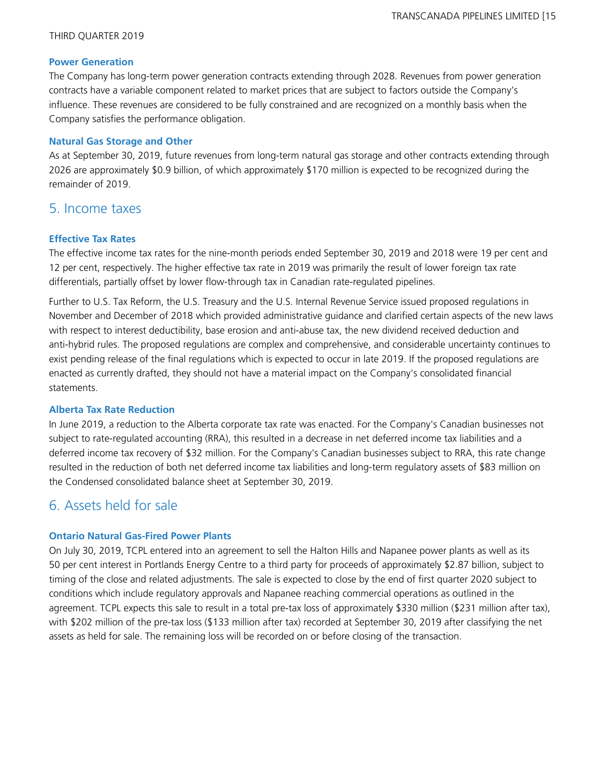### **Power Generation**

The Company has long-term power generation contracts extending through 2028. Revenues from power generation contracts have a variable component related to market prices that are subject to factors outside the Company's influence. These revenues are considered to be fully constrained and are recognized on a monthly basis when the Company satisfies the performance obligation.

### **Natural Gas Storage and Other**

As at September 30, 2019, future revenues from long-term natural gas storage and other contracts extending through 2026 are approximately \$0.9 billion, of which approximately \$170 million is expected to be recognized during the remainder of 2019.

### 5. Income taxes

### **Effective Tax Rates**

The effective income tax rates for the nine-month periods ended September 30, 2019 and 2018 were 19 per cent and 12 per cent, respectively. The higher effective tax rate in 2019 was primarily the result of lower foreign tax rate differentials, partially offset by lower flow-through tax in Canadian rate-regulated pipelines.

Further to U.S. Tax Reform, the U.S. Treasury and the U.S. Internal Revenue Service issued proposed regulations in November and December of 2018 which provided administrative guidance and clarified certain aspects of the new laws with respect to interest deductibility, base erosion and anti-abuse tax, the new dividend received deduction and anti-hybrid rules. The proposed regulations are complex and comprehensive, and considerable uncertainty continues to exist pending release of the final regulations which is expected to occur in late 2019. If the proposed regulations are enacted as currently drafted, they should not have a material impact on the Company's consolidated financial statements.

### **Alberta Tax Rate Reduction**

In June 2019, a reduction to the Alberta corporate tax rate was enacted. For the Company's Canadian businesses not subject to rate-regulated accounting (RRA), this resulted in a decrease in net deferred income tax liabilities and a deferred income tax recovery of \$32 million. For the Company's Canadian businesses subject to RRA, this rate change resulted in the reduction of both net deferred income tax liabilities and long-term regulatory assets of \$83 million on the Condensed consolidated balance sheet at September 30, 2019.

## 6. Assets held for sale

### **Ontario Natural Gas-Fired Power Plants**

On July 30, 2019, TCPL entered into an agreement to sell the Halton Hills and Napanee power plants as well as its 50 per cent interest in Portlands Energy Centre to a third party for proceeds of approximately \$2.87 billion, subject to timing of the close and related adjustments. The sale is expected to close by the end of first quarter 2020 subject to conditions which include regulatory approvals and Napanee reaching commercial operations as outlined in the agreement. TCPL expects this sale to result in a total pre-tax loss of approximately \$330 million (\$231 million after tax), with \$202 million of the pre-tax loss (\$133 million after tax) recorded at September 30, 2019 after classifying the net assets as held for sale. The remaining loss will be recorded on or before closing of the transaction.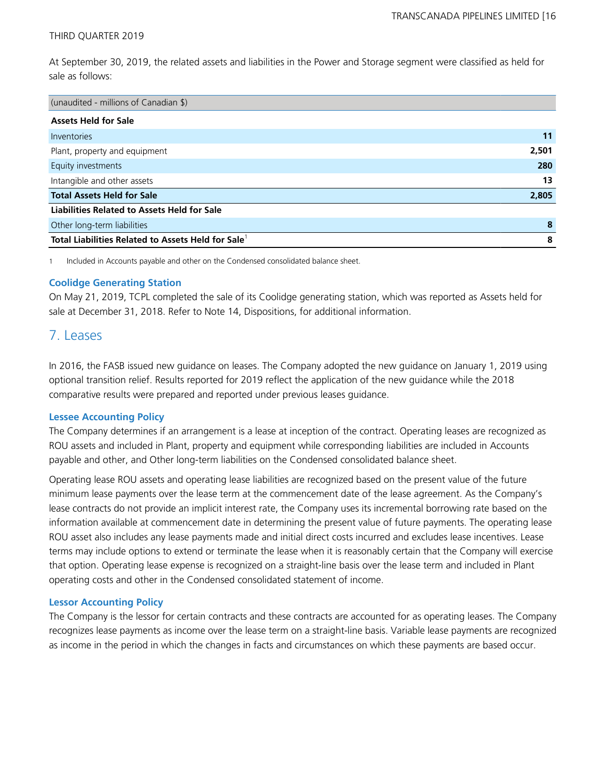At September 30, 2019, the related assets and liabilities in the Power and Storage segment were classified as held for sale as follows:

| (unaudited - millions of Canadian \$)                          |       |
|----------------------------------------------------------------|-------|
| <b>Assets Held for Sale</b>                                    |       |
| Inventories                                                    | 11    |
| Plant, property and equipment                                  | 2,501 |
| Equity investments                                             | 280   |
| Intangible and other assets                                    | 13    |
| <b>Total Assets Held for Sale</b>                              | 2,805 |
| <b>Liabilities Related to Assets Held for Sale</b>             |       |
| Other long-term liabilities                                    | 8     |
| Total Liabilities Related to Assets Held for Sale <sup>1</sup> | 8     |

1 Included in Accounts payable and other on the Condensed consolidated balance sheet.

### **Coolidge Generating Station**

On May 21, 2019, TCPL completed the sale of its Coolidge generating station, which was reported as Assets held for sale at December 31, 2018. Refer to Note 14, Dispositions, for additional information.

### 7. Leases

In 2016, the FASB issued new guidance on leases. The Company adopted the new guidance on January 1, 2019 using optional transition relief. Results reported for 2019 reflect the application of the new guidance while the 2018 comparative results were prepared and reported under previous leases guidance.

### **Lessee Accounting Policy**

The Company determines if an arrangement is a lease at inception of the contract. Operating leases are recognized as ROU assets and included in Plant, property and equipment while corresponding liabilities are included in Accounts payable and other, and Other long-term liabilities on the Condensed consolidated balance sheet.

Operating lease ROU assets and operating lease liabilities are recognized based on the present value of the future minimum lease payments over the lease term at the commencement date of the lease agreement. As the Company's lease contracts do not provide an implicit interest rate, the Company uses its incremental borrowing rate based on the information available at commencement date in determining the present value of future payments. The operating lease ROU asset also includes any lease payments made and initial direct costs incurred and excludes lease incentives. Lease terms may include options to extend or terminate the lease when it is reasonably certain that the Company will exercise that option. Operating lease expense is recognized on a straight-line basis over the lease term and included in Plant operating costs and other in the Condensed consolidated statement of income.

### **Lessor Accounting Policy**

The Company is the lessor for certain contracts and these contracts are accounted for as operating leases. The Company recognizes lease payments as income over the lease term on a straight-line basis. Variable lease payments are recognized as income in the period in which the changes in facts and circumstances on which these payments are based occur.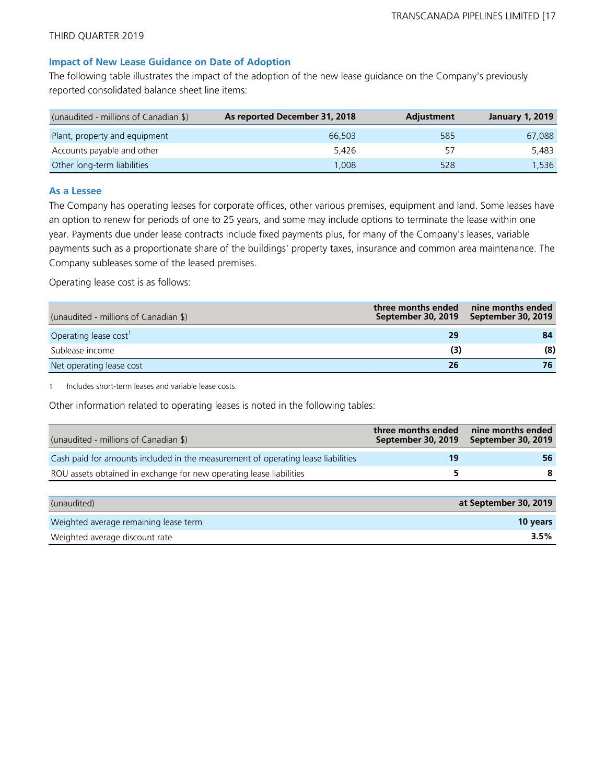### **Impact of New Lease Guidance on Date of Adoption**

The following table illustrates the impact of the adoption of the new lease guidance on the Company's previously reported consolidated balance sheet line items:

| (unaudited - millions of Canadian \$) | As reported December 31, 2018 | <b>Adjustment</b> | <b>January 1, 2019</b> |
|---------------------------------------|-------------------------------|-------------------|------------------------|
| Plant, property and equipment         | 66,503                        | 585               | 67.088                 |
| Accounts payable and other            | 5.426                         | 57                | 5.483                  |
| Other long-term liabilities           | 008. ا                        | 528               | 1.536                  |

#### **As a Lessee**

The Company has operating leases for corporate offices, other various premises, equipment and land. Some leases have an option to renew for periods of one to 25 years, and some may include options to terminate the lease within one year. Payments due under lease contracts include fixed payments plus, for many of the Company's leases, variable payments such as a proportionate share of the buildings' property taxes, insurance and common area maintenance. The Company subleases some of the leased premises.

Operating lease cost is as follows:

| (unaudited - millions of Canadian \$) | three months ended<br>September 30, 2019 | nine months ended<br>September 30, 2019 |
|---------------------------------------|------------------------------------------|-----------------------------------------|
| Operating lease cost <sup>1</sup>     | 29                                       | 84                                      |
| Sublease income                       | (3)                                      | (8)                                     |
| Net operating lease cost              | 26                                       | 76                                      |

1 Includes short-term leases and variable lease costs.

Other information related to operating leases is noted in the following tables:

| (unaudited - millions of Canadian \$)                                            | three months ended<br>September 30, 2019 | nine months ended<br>September 30, 2019 |
|----------------------------------------------------------------------------------|------------------------------------------|-----------------------------------------|
| Cash paid for amounts included in the measurement of operating lease liabilities | 19                                       | 56                                      |
| ROU assets obtained in exchange for new operating lease liabilities              |                                          | 8                                       |
|                                                                                  |                                          |                                         |

| (unaudited)                           | at September 30, 2019 |
|---------------------------------------|-----------------------|
| Weighted average remaining lease term | <b>10 years</b>       |
| Weighted average discount rate        | 3.5%                  |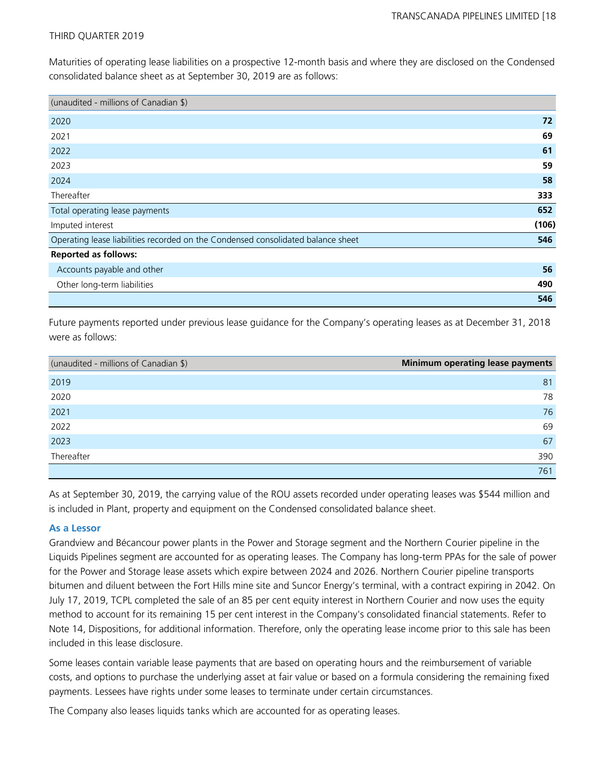Maturities of operating lease liabilities on a prospective 12-month basis and where they are disclosed on the Condensed consolidated balance sheet as at September 30, 2019 are as follows:

| (unaudited - millions of Canadian \$)                                            |       |
|----------------------------------------------------------------------------------|-------|
| 2020                                                                             | 72    |
| 2021                                                                             | 69    |
| 2022                                                                             | 61    |
| 2023                                                                             | 59    |
| 2024                                                                             | 58    |
| Thereafter                                                                       | 333   |
| Total operating lease payments                                                   | 652   |
| Imputed interest                                                                 | (106) |
| Operating lease liabilities recorded on the Condensed consolidated balance sheet | 546   |
| <b>Reported as follows:</b>                                                      |       |
| Accounts payable and other                                                       | 56    |
| Other long-term liabilities                                                      | 490   |
|                                                                                  | 546   |

Future payments reported under previous lease guidance for the Company's operating leases as at December 31, 2018 were as follows:

| (unaudited - millions of Canadian \$) | Minimum operating lease payments |
|---------------------------------------|----------------------------------|
| 2019                                  | 81                               |
| 2020                                  | 78                               |
| 2021                                  | 76                               |
| 2022                                  | 69                               |
| 2023                                  | 67                               |
| Thereafter                            | 390                              |
|                                       | 761                              |

As at September 30, 2019, the carrying value of the ROU assets recorded under operating leases was \$544 million and is included in Plant, property and equipment on the Condensed consolidated balance sheet.

### **As a Lessor**

Grandview and Bécancour power plants in the Power and Storage segment and the Northern Courier pipeline in the Liquids Pipelines segment are accounted for as operating leases. The Company has long-term PPAs for the sale of power for the Power and Storage lease assets which expire between 2024 and 2026. Northern Courier pipeline transports bitumen and diluent between the Fort Hills mine site and Suncor Energy's terminal, with a contract expiring in 2042. On July 17, 2019, TCPL completed the sale of an 85 per cent equity interest in Northern Courier and now uses the equity method to account for its remaining 15 per cent interest in the Company's consolidated financial statements. Refer to Note 14, Dispositions, for additional information. Therefore, only the operating lease income prior to this sale has been included in this lease disclosure.

Some leases contain variable lease payments that are based on operating hours and the reimbursement of variable costs, and options to purchase the underlying asset at fair value or based on a formula considering the remaining fixed payments. Lessees have rights under some leases to terminate under certain circumstances.

The Company also leases liquids tanks which are accounted for as operating leases.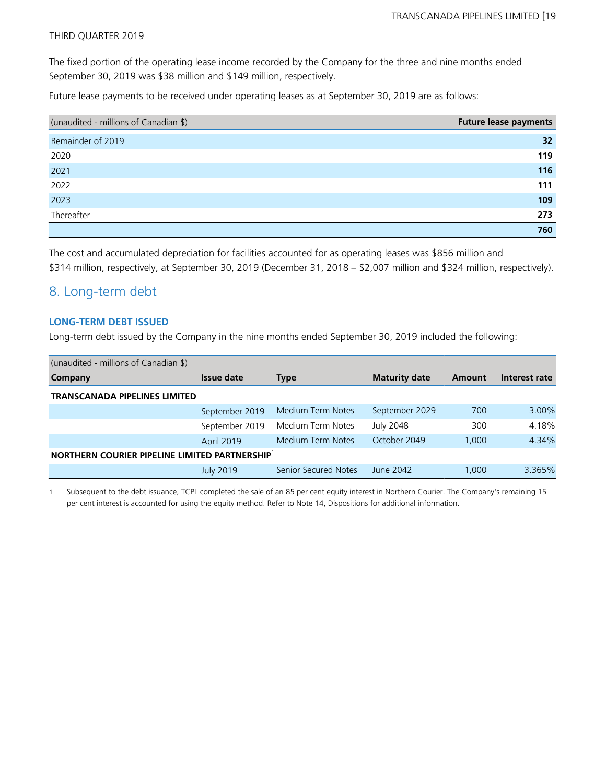The fixed portion of the operating lease income recorded by the Company for the three and nine months ended September 30, 2019 was \$38 million and \$149 million, respectively.

Future lease payments to be received under operating leases as at September 30, 2019 are as follows:

| (unaudited - millions of Canadian \$) | <b>Future lease payments</b> |
|---------------------------------------|------------------------------|
| Remainder of 2019                     | 32                           |
| 2020                                  | 119                          |
| 2021                                  | 116                          |
| 2022                                  | 111                          |
| 2023                                  | 109                          |
| Thereafter                            | 273                          |
|                                       | 760                          |

The cost and accumulated depreciation for facilities accounted for as operating leases was \$856 million and

\$314 million, respectively, at September 30, 2019 (December 31, 2018 – \$2,007 million and \$324 million, respectively).

## 8. Long-term debt

### **LONG-TERM DEBT ISSUED**

Long-term debt issued by the Company in the nine months ended September 30, 2019 included the following:

| (unaudited - millions of Canadian \$)                      |                  |                      |                      |        |               |
|------------------------------------------------------------|------------------|----------------------|----------------------|--------|---------------|
| <b>Company</b>                                             | Issue date       | Type                 | <b>Maturity date</b> | Amount | Interest rate |
| <b>TRANSCANADA PIPELINES LIMITED</b>                       |                  |                      |                      |        |               |
|                                                            | September 2019   | Medium Term Notes    | September 2029       | 700    | 3.00%         |
|                                                            | September 2019   | Medium Term Notes    | <b>July 2048</b>     | 300    | 4.18%         |
|                                                            | April 2019       | Medium Term Notes    | October 2049         | 1,000  | 4.34%         |
| NORTHERN COURIER PIPELINE LIMITED PARTNERSHIP <sup>1</sup> |                  |                      |                      |        |               |
|                                                            | <b>July 2019</b> | Senior Secured Notes | June 2042            | 1,000  | 3.365%        |

1 Subsequent to the debt issuance, TCPL completed the sale of an 85 per cent equity interest in Northern Courier. The Company's remaining 15 per cent interest is accounted for using the equity method. Refer to Note 14, Dispositions for additional information.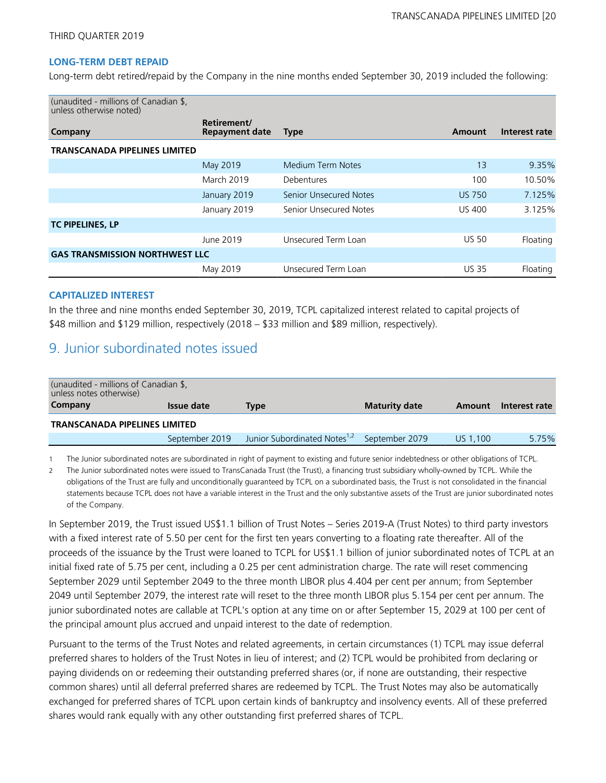### **LONG-TERM DEBT REPAID**

Long-term debt retired/repaid by the Company in the nine months ended September 30, 2019 included the following:

| (unaudited - millions of Canadian \$,<br>unless otherwise noted) |                                      |                               |               |               |
|------------------------------------------------------------------|--------------------------------------|-------------------------------|---------------|---------------|
| Company                                                          | Retirement/<br><b>Repayment date</b> | <b>Type</b>                   | Amount        | Interest rate |
| <b>TRANSCANADA PIPELINES LIMITED</b>                             |                                      |                               |               |               |
|                                                                  | May 2019                             | Medium Term Notes             | 13            | 9.35%         |
|                                                                  | <b>March 2019</b>                    | Debentures                    | 100           | 10.50%        |
|                                                                  | January 2019                         | <b>Senior Unsecured Notes</b> | <b>US 750</b> | 7.125%        |
|                                                                  | January 2019                         | Senior Unsecured Notes        | <b>US 400</b> | 3.125%        |
| <b>TC PIPELINES, LP</b>                                          |                                      |                               |               |               |
|                                                                  | June 2019                            | Unsecured Term Loan           | <b>US 50</b>  | Floating      |
| <b>GAS TRANSMISSION NORTHWEST LLC</b>                            |                                      |                               |               |               |
|                                                                  | May 2019                             | Unsecured Term Loan           | <b>US 35</b>  | Floating      |

### **CAPITALIZED INTEREST**

In the three and nine months ended September 30, 2019, TCPL capitalized interest related to capital projects of \$48 million and \$129 million, respectively (2018 – \$33 million and \$89 million, respectively).

### 9. Junior subordinated notes issued

| (unaudited - millions of Canadian \$,<br>unless notes otherwise) |                   |                                          |                      |          |               |  |
|------------------------------------------------------------------|-------------------|------------------------------------------|----------------------|----------|---------------|--|
| Company                                                          | <b>Issue date</b> | Type                                     | <b>Maturity date</b> | Amount   | Interest rate |  |
| <b>TRANSCANADA PIPELINES LIMITED</b>                             |                   |                                          |                      |          |               |  |
|                                                                  | September 2019    | Junior Subordinated Notes <sup>1,2</sup> | September 2079       | US 1.100 | 5.75%         |  |

1 The Junior subordinated notes are subordinated in right of payment to existing and future senior indebtedness or other obligations of TCPL.

2 The Junior subordinated notes were issued to TransCanada Trust (the Trust), a financing trust subsidiary wholly-owned by TCPL. While the obligations of the Trust are fully and unconditionally guaranteed by TCPL on a subordinated basis, the Trust is not consolidated in the financial statements because TCPL does not have a variable interest in the Trust and the only substantive assets of the Trust are junior subordinated notes of the Company.

In September 2019, the Trust issued US\$1.1 billion of Trust Notes – Series 2019-A (Trust Notes) to third party investors with a fixed interest rate of 5.50 per cent for the first ten years converting to a floating rate thereafter. All of the proceeds of the issuance by the Trust were loaned to TCPL for US\$1.1 billion of junior subordinated notes of TCPL at an initial fixed rate of 5.75 per cent, including a 0.25 per cent administration charge. The rate will reset commencing September 2029 until September 2049 to the three month LIBOR plus 4.404 per cent per annum; from September 2049 until September 2079, the interest rate will reset to the three month LIBOR plus 5.154 per cent per annum. The junior subordinated notes are callable at TCPL's option at any time on or after September 15, 2029 at 100 per cent of the principal amount plus accrued and unpaid interest to the date of redemption.

Pursuant to the terms of the Trust Notes and related agreements, in certain circumstances (1) TCPL may issue deferral preferred shares to holders of the Trust Notes in lieu of interest; and (2) TCPL would be prohibited from declaring or paying dividends on or redeeming their outstanding preferred shares (or, if none are outstanding, their respective common shares) until all deferral preferred shares are redeemed by TCPL. The Trust Notes may also be automatically exchanged for preferred shares of TCPL upon certain kinds of bankruptcy and insolvency events. All of these preferred shares would rank equally with any other outstanding first preferred shares of TCPL.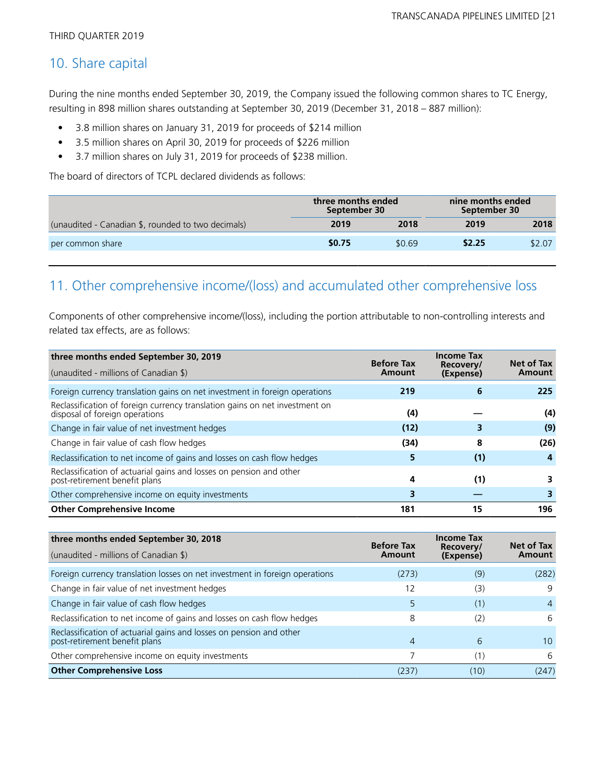## 10. Share capital

During the nine months ended September 30, 2019, the Company issued the following common shares to TC Energy, resulting in 898 million shares outstanding at September 30, 2019 (December 31, 2018 – 887 million):

- 3.8 million shares on January 31, 2019 for proceeds of \$214 million
- 3.5 million shares on April 30, 2019 for proceeds of \$226 million
- 3.7 million shares on July 31, 2019 for proceeds of \$238 million.

The board of directors of TCPL declared dividends as follows:

|                                                    | three months ended<br>September 30 |        | nine months ended<br>September 30 |        |
|----------------------------------------------------|------------------------------------|--------|-----------------------------------|--------|
| (unaudited - Canadian \$, rounded to two decimals) | 2019                               | 2018   | 2019                              | 2018   |
| per common share                                   | \$0.75                             | \$0.69 | \$2.25                            | \$2.07 |

## 11. Other comprehensive income/(loss) and accumulated other comprehensive loss

Components of other comprehensive income/(loss), including the portion attributable to non-controlling interests and related tax effects, are as follows:

| three months ended September 30, 2019                                                                         | <b>Before Tax</b> | <b>Income Tax</b>      | Net of Tax |
|---------------------------------------------------------------------------------------------------------------|-------------------|------------------------|------------|
| (unaudited - millions of Canadian \$)                                                                         | Amount            | Recovery/<br>(Expense) | Amount     |
| Foreign currency translation gains on net investment in foreign operations                                    | 219               | 6                      | 225        |
| Reclassification of foreign currency translation gains on net investment on<br>disposal of foreign operations | (4)               |                        | (4)        |
| Change in fair value of net investment hedges                                                                 | (12)              |                        | (9)        |
| Change in fair value of cash flow hedges                                                                      | (34)              | 8                      | (26)       |
| Reclassification to net income of gains and losses on cash flow hedges                                        | 5                 | (1)                    | 4          |
| Reclassification of actuarial gains and losses on pension and other<br>post-retirement benefit plans          | 4                 | (1)                    |            |
| Other comprehensive income on equity investments                                                              | 3                 |                        |            |
| <b>Other Comprehensive Income</b>                                                                             | 181               | 15                     | 196        |

| three months ended September 30, 2018                                                                | <b>Before Tax</b> | <b>Income Tax</b><br>Recovery/ | Net of Tax      |  |
|------------------------------------------------------------------------------------------------------|-------------------|--------------------------------|-----------------|--|
| (unaudited - millions of Canadian \$)                                                                | Amount            | (Expense)                      | Amount          |  |
| Foreign currency translation losses on net investment in foreign operations                          | (273)             | (9)                            | (282)           |  |
| Change in fair value of net investment hedges                                                        | 12                | (3)                            | 9               |  |
| Change in fair value of cash flow hedges                                                             | 5                 | (1)                            | 4               |  |
| Reclassification to net income of gains and losses on cash flow hedges                               | 8                 | (2)                            | 6               |  |
| Reclassification of actuarial gains and losses on pension and other<br>post-retirement benefit plans | 4                 | 6                              | 10 <sup>1</sup> |  |
| Other comprehensive income on equity investments                                                     |                   | (1)                            | 6               |  |
| <b>Other Comprehensive Loss</b>                                                                      | (237)             | (10)                           | (247)           |  |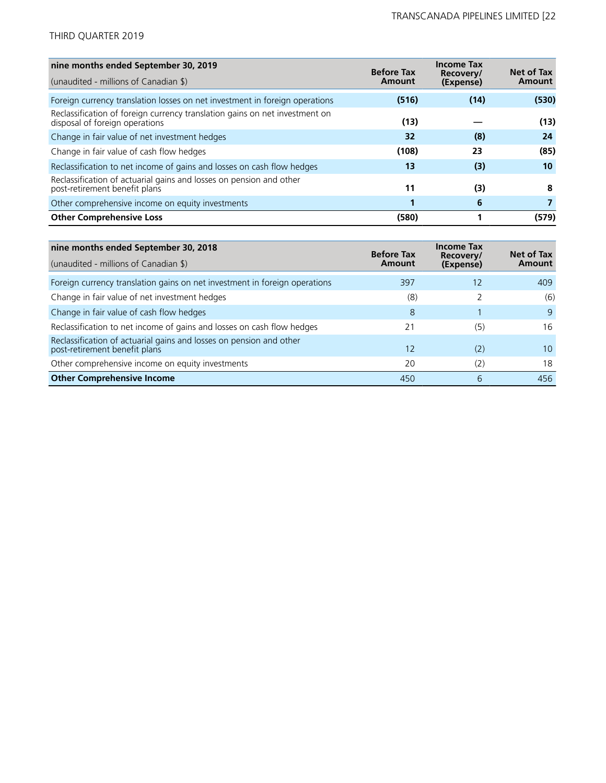| nine months ended September 30, 2019                                                                          | <b>Before Tax</b> | <b>Income Tax</b>      | Net of Tax |
|---------------------------------------------------------------------------------------------------------------|-------------------|------------------------|------------|
| (unaudited - millions of Canadian \$)                                                                         | Amount            | Recovery/<br>(Expense) | Amount     |
| Foreign currency translation losses on net investment in foreign operations                                   | (516)             | (14)                   | (530)      |
| Reclassification of foreign currency translation gains on net investment on<br>disposal of foreign operations | (13)              |                        | (13)       |
| Change in fair value of net investment hedges                                                                 | 32                | (8)                    | 24         |
| Change in fair value of cash flow hedges                                                                      | (108)             | 23                     | (85)       |
| Reclassification to net income of gains and losses on cash flow hedges                                        | 13                | (3)                    | 10         |
| Reclassification of actuarial gains and losses on pension and other<br>post-retirement benefit plans          | 11                | (3)                    | 8          |
| Other comprehensive income on equity investments                                                              |                   | 6                      |            |
| <b>Other Comprehensive Loss</b>                                                                               | (580)             |                        | (579)      |

| nine months ended September 30, 2018                                                                 | <b>Before Tax</b> | <b>Income Tax</b><br>Recovery/ | Net of Tax      |
|------------------------------------------------------------------------------------------------------|-------------------|--------------------------------|-----------------|
| (unaudited - millions of Canadian \$)                                                                | Amount            | (Expense)                      | Amount          |
| Foreign currency translation gains on net investment in foreign operations                           | 397               | 12                             | 409             |
| Change in fair value of net investment hedges                                                        | (8)               |                                | (6)             |
| Change in fair value of cash flow hedges                                                             | 8                 |                                | $\mathsf{Q}$    |
| Reclassification to net income of gains and losses on cash flow hedges                               | 21                | (5)                            | 16              |
| Reclassification of actuarial gains and losses on pension and other<br>post-retirement benefit plans | 12                | (2)                            | 10 <sup>1</sup> |
| Other comprehensive income on equity investments                                                     | 20                | (2)                            | 18              |
| <b>Other Comprehensive Income</b>                                                                    | 450               | 6                              | 456             |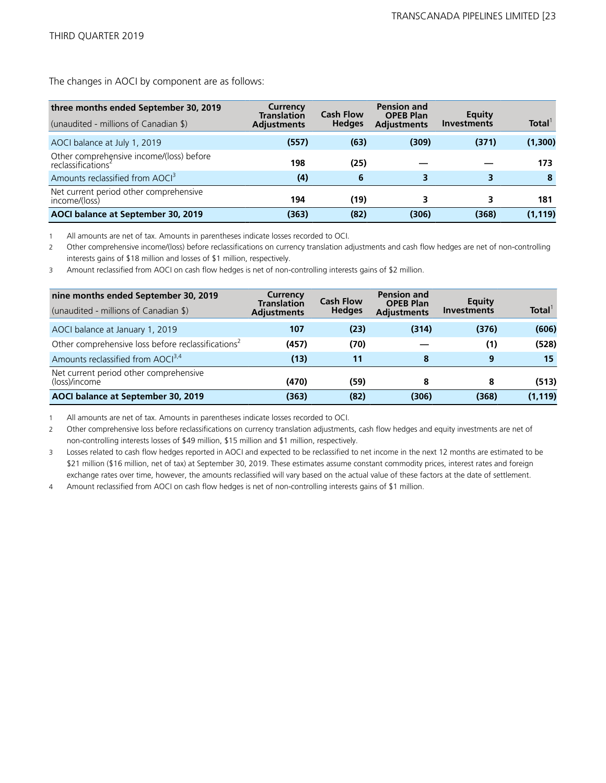The changes in AOCI by component are as follows:

| three months ended September 30, 2019<br>(unaudited - millions of Canadian \$) | Currency<br><b>Translation</b><br><b>Adjustments</b> | <b>Cash Flow</b><br><b>Hedges</b> | <b>Pension and</b><br><b>OPEB Plan</b><br><b>Adjustments</b> | Equity<br><b>Investments</b> | Total <sup>1</sup> |
|--------------------------------------------------------------------------------|------------------------------------------------------|-----------------------------------|--------------------------------------------------------------|------------------------------|--------------------|
| AOCI balance at July 1, 2019                                                   | (557)                                                | (63)                              | (309)                                                        | (371)                        | (1,300)            |
| Other comprehensive income/(loss) before<br>reclassifications <sup>2</sup>     | 198                                                  | (25)                              |                                                              |                              | 173                |
| Amounts reclassified from AOCI <sup>3</sup>                                    | (4)                                                  | 6                                 |                                                              |                              | 8                  |
| Net current period other comprehensive<br>income/(loss)                        | 194                                                  | (19)                              |                                                              | 3                            | 181                |
| AOCI balance at September 30, 2019                                             | (363)                                                | (82)                              | (306)                                                        | (368)                        | (1, 119)           |

1 All amounts are net of tax. Amounts in parentheses indicate losses recorded to OCI.

2 Other comprehensive income/(loss) before reclassifications on currency translation adjustments and cash flow hedges are net of non-controlling interests gains of \$18 million and losses of \$1 million, respectively.

3 Amount reclassified from AOCI on cash flow hedges is net of non-controlling interests gains of \$2 million.

| nine months ended September 30, 2019<br>(unaudited - millions of Canadian \$) | <b>Currency</b><br><b>Translation</b><br><b>Adjustments</b> | <b>Cash Flow</b><br><b>Hedges</b> | <b>Pension and</b><br><b>OPEB Plan</b><br><b>Adjustments</b> | Equity<br><b>Investments</b> | Total <sup>1</sup> |
|-------------------------------------------------------------------------------|-------------------------------------------------------------|-----------------------------------|--------------------------------------------------------------|------------------------------|--------------------|
| AOCI balance at January 1, 2019                                               | 107                                                         | (23)                              | (314)                                                        | (376)                        | (606)              |
| Other comprehensive loss before reclassifications <sup>2</sup>                | (457)                                                       | (70)                              |                                                              | (1)                          | (528)              |
| Amounts reclassified from AOCI <sup>3,4</sup>                                 | (13)                                                        | 11                                | 8                                                            | 9                            | 15                 |
| Net current period other comprehensive<br>(loss)/income                       | (470)                                                       | (59)                              | 8                                                            | 8                            | (513)              |
| AOCI balance at September 30, 2019                                            | (363)                                                       | (82)                              | (306)                                                        | (368)                        | (1, 119)           |

1 All amounts are net of tax. Amounts in parentheses indicate losses recorded to OCI.

2 Other comprehensive loss before reclassifications on currency translation adjustments, cash flow hedges and equity investments are net of non-controlling interests losses of \$49 million, \$15 million and \$1 million, respectively.

3 Losses related to cash flow hedges reported in AOCI and expected to be reclassified to net income in the next 12 months are estimated to be \$21 million (\$16 million, net of tax) at September 30, 2019. These estimates assume constant commodity prices, interest rates and foreign exchange rates over time, however, the amounts reclassified will vary based on the actual value of these factors at the date of settlement.

4 Amount reclassified from AOCI on cash flow hedges is net of non-controlling interests gains of \$1 million.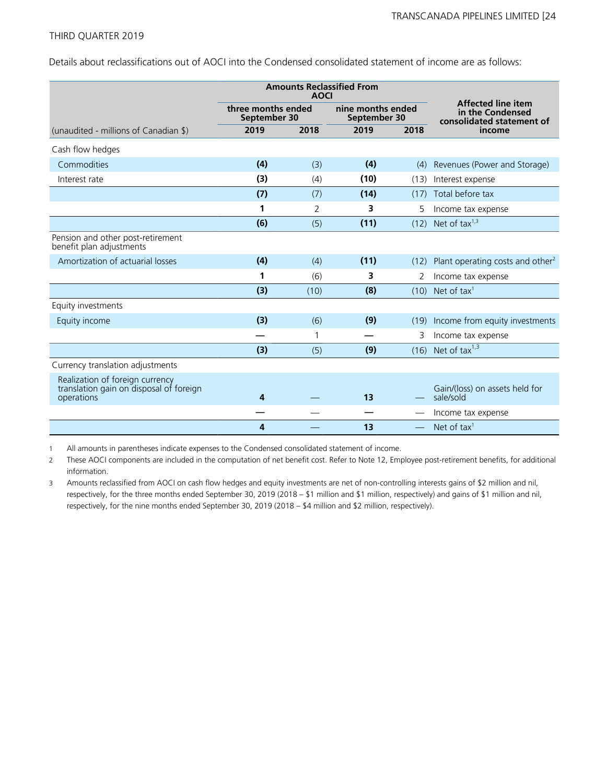Details about reclassifications out of AOCI into the Condensed consolidated statement of income are as follows:

|                                                                                          |                                    | <b>Amounts Reclassified From</b><br><b>AOCI</b> |                                   |                          |                                                                            |
|------------------------------------------------------------------------------------------|------------------------------------|-------------------------------------------------|-----------------------------------|--------------------------|----------------------------------------------------------------------------|
|                                                                                          | three months ended<br>September 30 |                                                 | nine months ended<br>September 30 |                          | <b>Affected line item</b><br>in the Condensed<br>consolidated statement of |
| (unaudited - millions of Canadian \$)                                                    | 2019                               | 2018                                            | 2019                              | 2018                     | income                                                                     |
| Cash flow hedges                                                                         |                                    |                                                 |                                   |                          |                                                                            |
| Commodities                                                                              | (4)                                | (3)                                             | (4)                               | (4)                      | Revenues (Power and Storage)                                               |
| Interest rate                                                                            | (3)                                | (4)                                             | (10)                              | (13)                     | Interest expense                                                           |
|                                                                                          | (7)                                | (7)                                             | (14)                              | (17)                     | Total before tax                                                           |
|                                                                                          | 1                                  | 2                                               | 3                                 | 5                        | Income tax expense                                                         |
|                                                                                          | (6)                                | (5)                                             | (11)                              | (12)                     | Net of tax $1,3$                                                           |
| Pension and other post-retirement<br>benefit plan adjustments                            |                                    |                                                 |                                   |                          |                                                                            |
| Amortization of actuarial losses                                                         | (4)                                | (4)                                             | (11)                              | (12)                     | Plant operating costs and other <sup>2</sup>                               |
|                                                                                          | 1                                  | (6)                                             | 3                                 | 2                        | Income tax expense                                                         |
|                                                                                          | (3)                                | (10)                                            | (8)                               | (10)                     | Net of tax <sup>1</sup>                                                    |
| Equity investments                                                                       |                                    |                                                 |                                   |                          |                                                                            |
| Equity income                                                                            | (3)                                | (6)                                             | (9)                               | (19)                     | Income from equity investments                                             |
|                                                                                          |                                    | $\mathbf{1}$                                    |                                   | 3                        | Income tax expense                                                         |
|                                                                                          | (3)                                | (5)                                             | (9)                               | (16)                     | Net of tax $1,3$                                                           |
| Currency translation adjustments                                                         |                                    |                                                 |                                   |                          |                                                                            |
| Realization of foreign currency<br>translation gain on disposal of foreign<br>operations | 4                                  |                                                 | 13                                |                          | Gain/(loss) on assets held for<br>sale/sold                                |
|                                                                                          |                                    |                                                 |                                   |                          | Income tax expense                                                         |
|                                                                                          | 4                                  |                                                 | 13                                | $\overline{\phantom{m}}$ | Net of tax <sup>1</sup>                                                    |

1 All amounts in parentheses indicate expenses to the Condensed consolidated statement of income.

2 These AOCI components are included in the computation of net benefit cost. Refer to Note 12, Employee post-retirement benefits, for additional information.

3 Amounts reclassified from AOCI on cash flow hedges and equity investments are net of non-controlling interests gains of \$2 million and nil, respectively, for the three months ended September 30, 2019 (2018 – \$1 million and \$1 million, respectively) and gains of \$1 million and nil, respectively, for the nine months ended September 30, 2019 (2018 – \$4 million and \$2 million, respectively).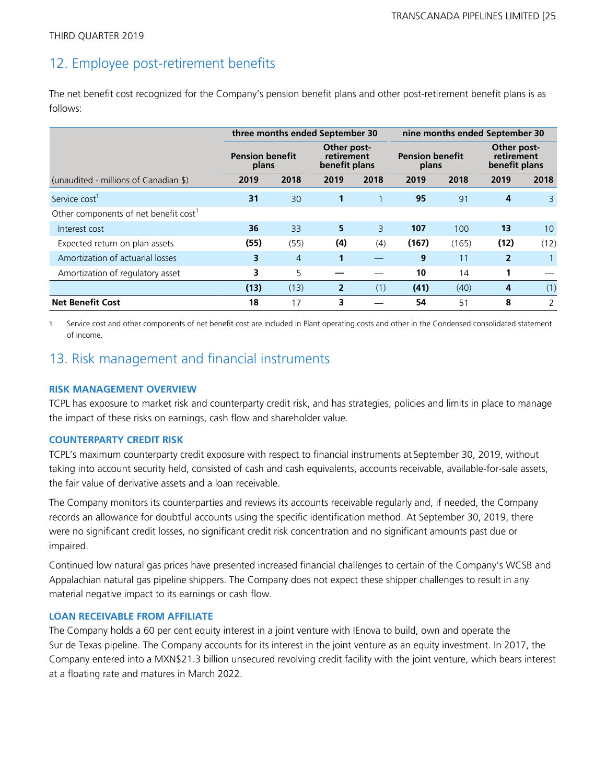## 12. Employee post-retirement benefits

The net benefit cost recognized for the Company's pension benefit plans and other post-retirement benefit plans is as follows:

|                                                   |                                                                               | three months ended September 30 |                |                                 |                | nine months ended September 30             |                |                |  |
|---------------------------------------------------|-------------------------------------------------------------------------------|---------------------------------|----------------|---------------------------------|----------------|--------------------------------------------|----------------|----------------|--|
|                                                   | Other post-<br><b>Pension benefit</b><br>retirement<br>benefit plans<br>plans |                                 |                | <b>Pension benefit</b><br>plans |                | Other post-<br>retirement<br>benefit plans |                |                |  |
| (unaudited - millions of Canadian \$)             | 2019                                                                          | 2018                            | 2019           | 2018                            | 2019           | 2018                                       | 2019           | 2018           |  |
| Service cost <sup>1</sup>                         | 31                                                                            | 30                              | 1              |                                 | 95             | 91                                         | 4              | 3              |  |
| Other components of net benefit cost <sup>1</sup> |                                                                               |                                 |                |                                 |                |                                            |                |                |  |
| Interest cost                                     | 36                                                                            | 33                              | 5              | $\overline{3}$                  | 107            | 100                                        | 13             | 10             |  |
| Expected return on plan assets                    | (55)                                                                          | (55)                            | (4)            | (4)                             | (167)          | (165)                                      | (12)           | (12)           |  |
| Amortization of actuarial losses                  | 3                                                                             | $\overline{4}$                  | 1              |                                 | $\overline{9}$ | 11                                         | $\overline{2}$ |                |  |
| Amortization of regulatory asset                  | 3                                                                             | 5                               |                |                                 | 10             | 14                                         | 1              |                |  |
|                                                   | (13)                                                                          | (13)                            | $\overline{2}$ | (1)                             | (41)           | (40)                                       | 4              | (1)            |  |
| <b>Net Benefit Cost</b>                           | 18                                                                            | 17                              | 3              |                                 | 54             | 51                                         | 8              | $\overline{2}$ |  |

1 Service cost and other components of net benefit cost are included in Plant operating costs and other in the Condensed consolidated statement of income.

## 13. Risk management and financial instruments

### **RISK MANAGEMENT OVERVIEW**

TCPL has exposure to market risk and counterparty credit risk, and has strategies, policies and limits in place to manage the impact of these risks on earnings, cash flow and shareholder value.

### **COUNTERPARTY CREDIT RISK**

TCPL's maximum counterparty credit exposure with respect to financial instruments at September 30, 2019, without taking into account security held, consisted of cash and cash equivalents, accounts receivable, available-for-sale assets, the fair value of derivative assets and a loan receivable.

The Company monitors its counterparties and reviews its accounts receivable regularly and, if needed, the Company records an allowance for doubtful accounts using the specific identification method. At September 30, 2019, there were no significant credit losses, no significant credit risk concentration and no significant amounts past due or impaired.

Continued low natural gas prices have presented increased financial challenges to certain of the Company's WCSB and Appalachian natural gas pipeline shippers. The Company does not expect these shipper challenges to result in any material negative impact to its earnings or cash flow.

### **LOAN RECEIVABLE FROM AFFILIATE**

The Company holds a 60 per cent equity interest in a joint venture with IEnova to build, own and operate the Sur de Texas pipeline. The Company accounts for its interest in the joint venture as an equity investment. In 2017, the Company entered into a MXN\$21.3 billion unsecured revolving credit facility with the joint venture, which bears interest at a floating rate and matures in March 2022.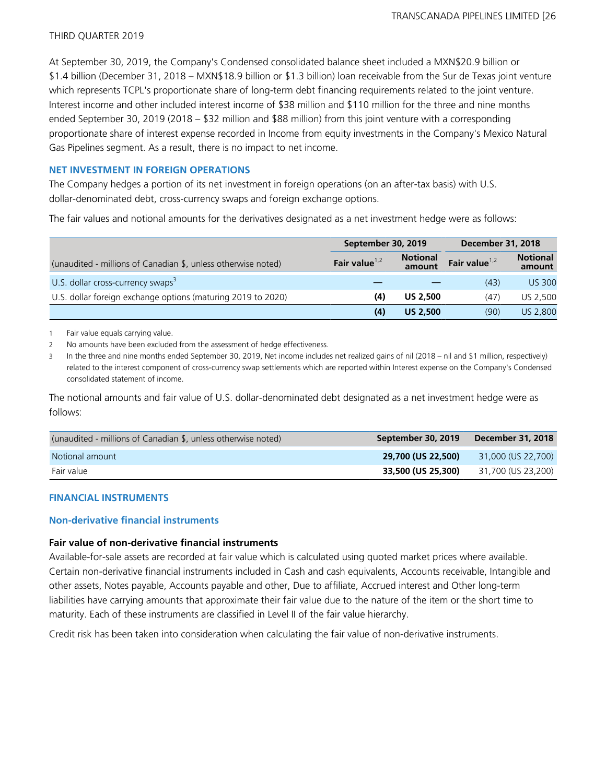At September 30, 2019, the Company's Condensed consolidated balance sheet included a MXN\$20.9 billion or \$1.4 billion (December 31, 2018 – MXN\$18.9 billion or \$1.3 billion) loan receivable from the Sur de Texas joint venture which represents TCPL's proportionate share of long-term debt financing requirements related to the joint venture. Interest income and other included interest income of \$38 million and \$110 million for the three and nine months ended September 30, 2019 (2018 – \$32 million and \$88 million) from this joint venture with a corresponding proportionate share of interest expense recorded in Income from equity investments in the Company's Mexico Natural Gas Pipelines segment. As a result, there is no impact to net income.

### **NET INVESTMENT IN FOREIGN OPERATIONS**

The Company hedges a portion of its net investment in foreign operations (on an after-tax basis) with U.S. dollar-denominated debt, cross-currency swaps and foreign exchange options.

The fair values and notional amounts for the derivatives designated as a net investment hedge were as follows:

|                                                               | September 30, 2019 |                           | <b>December 31, 2018</b> |                           |  |
|---------------------------------------------------------------|--------------------|---------------------------|--------------------------|---------------------------|--|
| (unaudited - millions of Canadian \$, unless otherwise noted) | Fair value $1,2$   | <b>Notional</b><br>amount | Fair value $1,2$         | <b>Notional</b><br>amount |  |
| U.S. dollar cross-currency swaps $3$                          |                    |                           | (43)                     | <b>US 300</b>             |  |
| U.S. dollar foreign exchange options (maturing 2019 to 2020)  | (4)                | <b>US 2,500</b>           | (47)                     | US 2,500                  |  |
|                                                               | (4)                | <b>US 2.500</b>           | (90)                     | US 2,800                  |  |

1 Fair value equals carrying value.

2 No amounts have been excluded from the assessment of hedge effectiveness.

3 In the three and nine months ended September 30, 2019, Net income includes net realized gains of nil (2018 – nil and \$1 million, respectively) related to the interest component of cross-currency swap settlements which are reported within Interest expense on the Company's Condensed consolidated statement of income.

The notional amounts and fair value of U.S. dollar-denominated debt designated as a net investment hedge were as follows:

| (unaudited - millions of Canadian \$, unless otherwise noted) | September 30, 2019 | December 31, 2018  |
|---------------------------------------------------------------|--------------------|--------------------|
| Notional amount                                               | 29,700 (US 22,500) | 31,000 (US 22,700) |
| Fair value                                                    | 33,500 (US 25,300) | 31,700 (US 23,200) |

### **FINANCIAL INSTRUMENTS**

### **Non-derivative financial instruments**

### **Fair value of non-derivative financial instruments**

Available-for-sale assets are recorded at fair value which is calculated using quoted market prices where available. Certain non-derivative financial instruments included in Cash and cash equivalents, Accounts receivable, Intangible and other assets, Notes payable, Accounts payable and other, Due to affiliate, Accrued interest and Other long-term liabilities have carrying amounts that approximate their fair value due to the nature of the item or the short time to maturity. Each of these instruments are classified in Level II of the fair value hierarchy.

Credit risk has been taken into consideration when calculating the fair value of non-derivative instruments.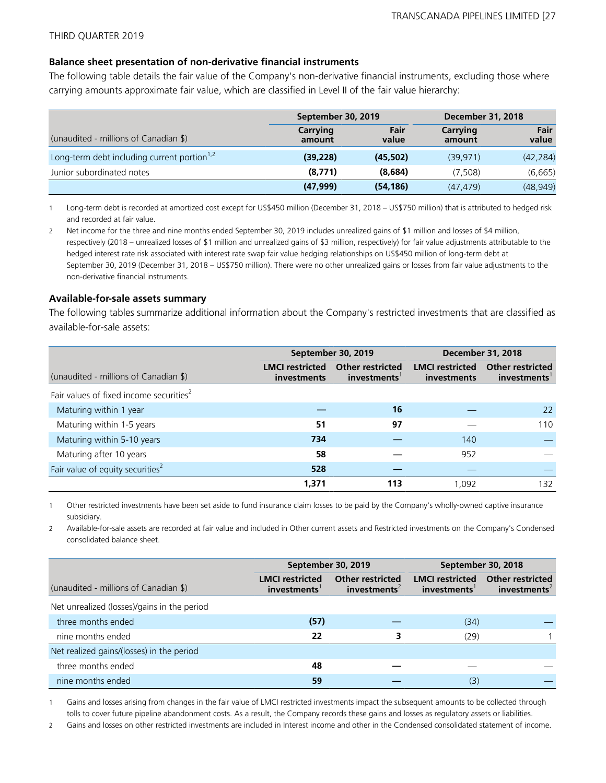### **Balance sheet presentation of non-derivative financial instruments**

The following table details the fair value of the Company's non-derivative financial instruments, excluding those where carrying amounts approximate fair value, which are classified in Level II of the fair value hierarchy:

|                                                         | September 30, 2019 |               |                    | <b>December 31, 2018</b> |  |  |
|---------------------------------------------------------|--------------------|---------------|--------------------|--------------------------|--|--|
| (unaudited - millions of Canadian \$)                   | Carrying<br>amount | Fair<br>value | Carrying<br>amount | Fair<br>value            |  |  |
| Long-term debt including current portion <sup>1,2</sup> | (39, 228)          | (45,502)      | (39.971)           | (42, 284)                |  |  |
| Junior subordinated notes                               | (8,771)            | (8,684)       | (7.508)            | (6,665)                  |  |  |
|                                                         | (47, 999)          | (54, 186)     | (47.479)           | (48, 949)                |  |  |

1 Long-term debt is recorded at amortized cost except for US\$450 million (December 31, 2018 – US\$750 million) that is attributed to hedged risk and recorded at fair value.

2 Net income for the three and nine months ended September 30, 2019 includes unrealized gains of \$1 million and losses of \$4 million, respectively (2018 – unrealized losses of \$1 million and unrealized gains of \$3 million, respectively) for fair value adjustments attributable to the hedged interest rate risk associated with interest rate swap fair value hedging relationships on US\$450 million of long-term debt at September 30, 2019 (December 31, 2018 – US\$750 million). There were no other unrealized gains or losses from fair value adjustments to the non-derivative financial instruments.

### **Available-for-sale assets summary**

The following tables summarize additional information about the Company's restricted investments that are classified as available-for-sale assets:

|                                                     |                                       | September 30, 2019                     | <b>December 31, 2018</b>              |                                        |  |
|-----------------------------------------------------|---------------------------------------|----------------------------------------|---------------------------------------|----------------------------------------|--|
| (unaudited - millions of Canadian \$)               | <b>LMCI</b> restricted<br>investments | <b>Other restricted</b><br>investments | <b>LMCI</b> restricted<br>investments | <b>Other restricted</b><br>investments |  |
| Fair values of fixed income securities <sup>2</sup> |                                       |                                        |                                       |                                        |  |
| Maturing within 1 year                              |                                       | 16                                     |                                       | 22                                     |  |
| Maturing within 1-5 years                           | 51                                    | 97                                     |                                       | 110                                    |  |
| Maturing within 5-10 years                          | 734                                   |                                        | 140                                   |                                        |  |
| Maturing after 10 years                             | 58                                    |                                        | 952                                   |                                        |  |
| Fair value of equity securities <sup>2</sup>        | 528                                   |                                        |                                       |                                        |  |
|                                                     | 1,371                                 | 113                                    | 1.092                                 | 132                                    |  |

1 Other restricted investments have been set aside to fund insurance claim losses to be paid by the Company's wholly-owned captive insurance subsidiary.

2 Available-for-sale assets are recorded at fair value and included in Other current assets and Restricted investments on the Company's Condensed consolidated balance sheet.

|                                             |                                       | September 30, 2019                                  | September 30, 2018                    |                                                     |  |
|---------------------------------------------|---------------------------------------|-----------------------------------------------------|---------------------------------------|-----------------------------------------------------|--|
| (unaudited - millions of Canadian \$)       | <b>LMCI</b> restricted<br>investments | <b>Other restricted</b><br>investments <sup>2</sup> | <b>LMCI</b> restricted<br>investments | <b>Other restricted</b><br>investments <sup>2</sup> |  |
| Net unrealized (losses)/gains in the period |                                       |                                                     |                                       |                                                     |  |
| three months ended                          | (57)                                  |                                                     | (34)                                  |                                                     |  |
| nine months ended                           | 22                                    | 3                                                   | (29)                                  |                                                     |  |
| Net realized gains/(losses) in the period   |                                       |                                                     |                                       |                                                     |  |
| three months ended                          | 48                                    |                                                     |                                       |                                                     |  |
| nine months ended                           | 59                                    |                                                     | (3)                                   |                                                     |  |

1 Gains and losses arising from changes in the fair value of LMCI restricted investments impact the subsequent amounts to be collected through tolls to cover future pipeline abandonment costs. As a result, the Company records these gains and losses as regulatory assets or liabilities.

2 Gains and losses on other restricted investments are included in Interest income and other in the Condensed consolidated statement of income.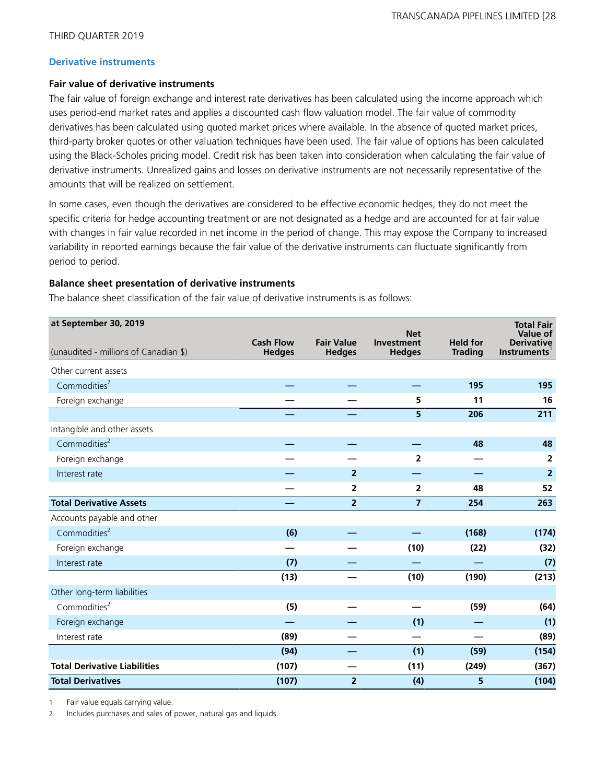### **Derivative instruments**

### **Fair value of derivative instruments**

The fair value of foreign exchange and interest rate derivatives has been calculated using the income approach which uses period-end market rates and applies a discounted cash flow valuation model. The fair value of commodity derivatives has been calculated using quoted market prices where available. In the absence of quoted market prices, third-party broker quotes or other valuation techniques have been used. The fair value of options has been calculated using the Black-Scholes pricing model. Credit risk has been taken into consideration when calculating the fair value of derivative instruments. Unrealized gains and losses on derivative instruments are not necessarily representative of the amounts that will be realized on settlement.

In some cases, even though the derivatives are considered to be effective economic hedges, they do not meet the specific criteria for hedge accounting treatment or are not designated as a hedge and are accounted for at fair value with changes in fair value recorded in net income in the period of change. This may expose the Company to increased variability in reported earnings because the fair value of the derivative instruments can fluctuate significantly from period to period.

### **Balance sheet presentation of derivative instruments**

The balance sheet classification of the fair value of derivative instruments is as follows:

| at September 30, 2019                 |                                   |                                    | <b>Net</b>                         |                                   | <b>Total Fair</b><br>Value of    |
|---------------------------------------|-----------------------------------|------------------------------------|------------------------------------|-----------------------------------|----------------------------------|
| (unaudited - millions of Canadian \$) | <b>Cash Flow</b><br><b>Hedges</b> | <b>Fair Value</b><br><b>Hedges</b> | <b>Investment</b><br><b>Hedges</b> | <b>Held for</b><br><b>Trading</b> | <b>Derivative</b><br>Instruments |
| Other current assets                  |                                   |                                    |                                    |                                   |                                  |
| Commodities $2$                       |                                   |                                    |                                    | 195                               | 195                              |
| Foreign exchange                      |                                   |                                    | 5                                  | 11                                | 16                               |
|                                       |                                   |                                    | 5                                  | 206                               | 211                              |
| Intangible and other assets           |                                   |                                    |                                    |                                   |                                  |
| Commodities <sup>2</sup>              |                                   |                                    |                                    | 48                                | 48                               |
| Foreign exchange                      |                                   |                                    | $\overline{2}$                     |                                   | $\overline{2}$                   |
| Interest rate                         |                                   | $\overline{2}$                     |                                    |                                   | $\overline{\mathbf{2}}$          |
|                                       |                                   | 2                                  | $\overline{2}$                     | 48                                | 52                               |
| <b>Total Derivative Assets</b>        |                                   | $\overline{\mathbf{2}}$            | $\overline{7}$                     | 254                               | 263                              |
| Accounts payable and other            |                                   |                                    |                                    |                                   |                                  |
| Commodities <sup>2</sup>              | (6)                               |                                    |                                    | (168)                             | (174)                            |
| Foreign exchange                      |                                   |                                    | (10)                               | (22)                              | (32)                             |
| Interest rate                         | (7)                               |                                    |                                    |                                   | (7)                              |
|                                       | (13)                              |                                    | (10)                               | (190)                             | (213)                            |
| Other long-term liabilities           |                                   |                                    |                                    |                                   |                                  |
| Commodities <sup>2</sup>              | (5)                               |                                    |                                    | (59)                              | (64)                             |
| Foreign exchange                      |                                   |                                    | (1)                                |                                   | (1)                              |
| Interest rate                         | (89)                              |                                    |                                    |                                   | (89)                             |
|                                       | (94)                              |                                    | (1)                                | (59)                              | (154)                            |
| <b>Total Derivative Liabilities</b>   | (107)                             |                                    | (11)                               | (249)                             | (367)                            |
| <b>Total Derivatives</b>              | (107)                             | $\overline{2}$                     | (4)                                | 5                                 | (104)                            |

1 Fair value equals carrying value.

2 Includes purchases and sales of power, natural gas and liquids.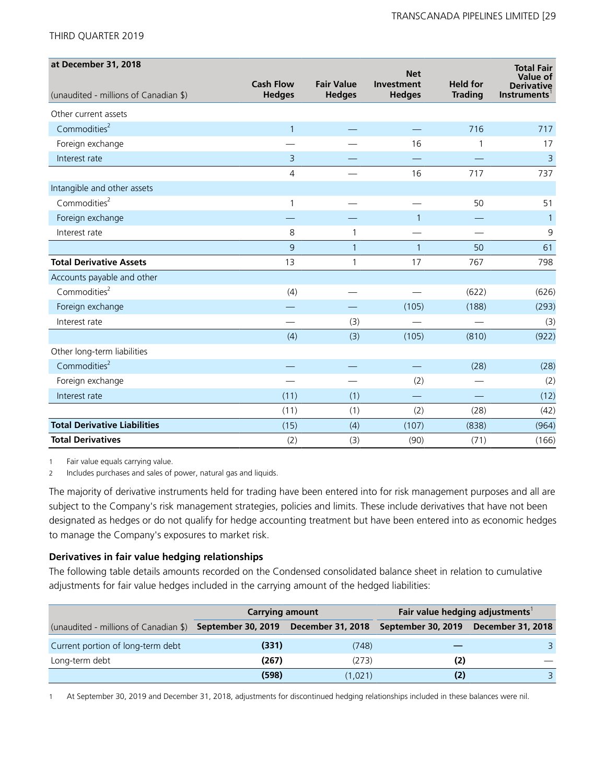| at December 31, 2018                  |                  |                   | <b>Net</b>     |                 | <b>Total Fair</b>             |
|---------------------------------------|------------------|-------------------|----------------|-----------------|-------------------------------|
|                                       | <b>Cash Flow</b> | <b>Fair Value</b> | Investment     | <b>Held for</b> | Value of<br><b>Derivative</b> |
| (unaudited - millions of Canadian \$) | <b>Hedges</b>    | <b>Hedges</b>     | <b>Hedges</b>  | <b>Trading</b>  | <b>Instruments</b>            |
| Other current assets                  |                  |                   |                |                 |                               |
| Commodities <sup>2</sup>              | $\mathbf{1}$     |                   |                | 716             | 717                           |
| Foreign exchange                      |                  |                   | 16             | 1               | 17                            |
| Interest rate                         | 3                |                   |                |                 | $\overline{3}$                |
|                                       | 4                |                   | 16             | 717             | 737                           |
| Intangible and other assets           |                  |                   |                |                 |                               |
| Commodities <sup>2</sup>              | 1                |                   |                | 50              | 51                            |
| Foreign exchange                      |                  |                   | $\overline{1}$ |                 | $\mathbf{1}$                  |
| Interest rate                         | 8                | 1                 |                |                 | 9                             |
|                                       | 9                | $\mathbf{1}$      | $\mathbf{1}$   | 50              | 61                            |
| <b>Total Derivative Assets</b>        | 13               | 1                 | 17             | 767             | 798                           |
| Accounts payable and other            |                  |                   |                |                 |                               |
| Commodities $2$                       | (4)              |                   |                | (622)           | (626)                         |
| Foreign exchange                      |                  |                   | (105)          | (188)           | (293)                         |
| Interest rate                         |                  | (3)               |                |                 | (3)                           |
|                                       | (4)              | (3)               | (105)          | (810)           | (922)                         |
| Other long-term liabilities           |                  |                   |                |                 |                               |
| Commodities <sup>2</sup>              |                  |                   |                | (28)            | (28)                          |
| Foreign exchange                      |                  |                   | (2)            | $\qquad \qquad$ | (2)                           |
| Interest rate                         | (11)             | (1)               |                |                 | (12)                          |
|                                       | (11)             | (1)               | (2)            | (28)            | (42)                          |
| <b>Total Derivative Liabilities</b>   | (15)             | (4)               | (107)          | (838)           | (964)                         |
| <b>Total Derivatives</b>              | (2)              | (3)               | (90)           | (71)            | (166)                         |

1 Fair value equals carrying value.

2 Includes purchases and sales of power, natural gas and liquids.

The majority of derivative instruments held for trading have been entered into for risk management purposes and all are subject to the Company's risk management strategies, policies and limits. These include derivatives that have not been designated as hedges or do not qualify for hedge accounting treatment but have been entered into as economic hedges to manage the Company's exposures to market risk.

### **Derivatives in fair value hedging relationships**

The following table details amounts recorded on the Condensed consolidated balance sheet in relation to cumulative adjustments for fair value hedges included in the carrying amount of the hedged liabilities:

|                                                                             | <b>Carrying amount</b> |         | Fair value hedging adjustments <sup>1</sup> |  |
|-----------------------------------------------------------------------------|------------------------|---------|---------------------------------------------|--|
| (unaudited - millions of Canadian \$) September 30, 2019  December 31, 2018 |                        |         | September 30, 2019  December 31, 2018       |  |
| Current portion of long-term debt                                           | (331)                  | (748)   |                                             |  |
| Long-term debt                                                              | (267)                  | (273)   | (2)                                         |  |
|                                                                             | (598)                  | (1.021) | (2)                                         |  |

1 At September 30, 2019 and December 31, 2018, adjustments for discontinued hedging relationships included in these balances were nil.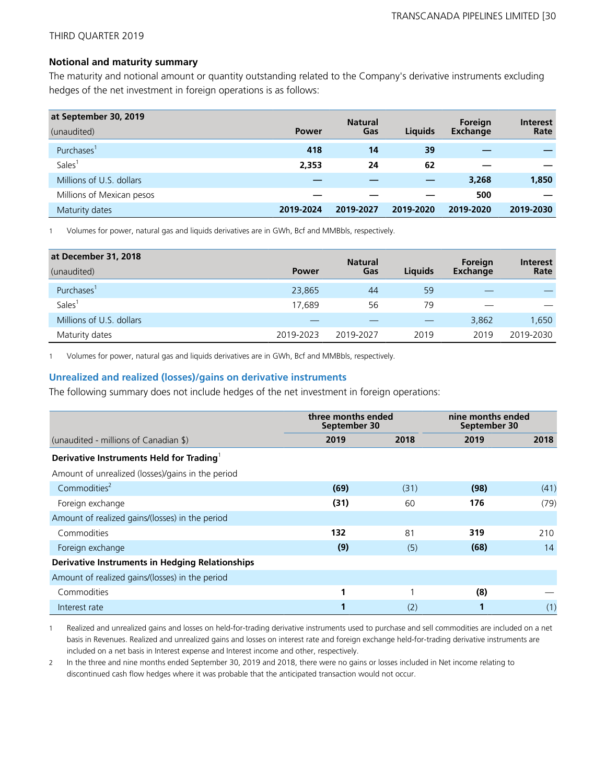### **Notional and maturity summary**

The maturity and notional amount or quantity outstanding related to the Company's derivative instruments excluding hedges of the net investment in foreign operations is as follows:

| at September 30, 2019     |              | <b>Natural</b> |                | Foreign         | <b>Interest</b> |
|---------------------------|--------------|----------------|----------------|-----------------|-----------------|
| (unaudited)               | <b>Power</b> | Gas            | <b>Liquids</b> | <b>Exchange</b> | Rate            |
| Purchases'                | 418          | 14             | 39             |                 |                 |
| <b>Sales</b>              | 2,353        | 24             | 62             |                 |                 |
| Millions of U.S. dollars  |              |                |                | 3,268           | 1,850           |
| Millions of Mexican pesos |              |                |                | 500             |                 |
| Maturity dates            | 2019-2024    | 2019-2027      | 2019-2020      | 2019-2020       | 2019-2030       |

1 Volumes for power, natural gas and liquids derivatives are in GWh, Bcf and MMBbls, respectively.

| at December 31, 2018     |              | <b>Natural</b> |                | Foreign  | <b>Interest</b> |
|--------------------------|--------------|----------------|----------------|----------|-----------------|
| (unaudited)              | <b>Power</b> | Gas            | <b>Liquids</b> | Exchange | Rate            |
| Purchases'               | 23,865       | 44             | 59             |          |                 |
| <b>Sales</b>             | 17.689       | 56             | 79             |          |                 |
| Millions of U.S. dollars |              |                |                | 3,862    | 1,650           |
| Maturity dates           | 2019-2023    | 2019-2027      | 2019           | 2019     | 2019-2030       |

1 Volumes for power, natural gas and liquids derivatives are in GWh, Bcf and MMBbls, respectively.

### **Unrealized and realized (losses)/gains on derivative instruments**

The following summary does not include hedges of the net investment in foreign operations:

|                                                        | three months ended<br>September 30 |      | nine months ended<br>September 30 |      |  |
|--------------------------------------------------------|------------------------------------|------|-----------------------------------|------|--|
| (unaudited - millions of Canadian \$)                  | 2019                               | 2018 | 2019                              | 2018 |  |
| Derivative Instruments Held for Trading <sup>1</sup>   |                                    |      |                                   |      |  |
| Amount of unrealized (losses)/gains in the period      |                                    |      |                                   |      |  |
| Commodities <sup>2</sup>                               | (69)                               | (31) | (98)                              | (41) |  |
| Foreign exchange                                       | (31)                               | 60   | 176                               | (79) |  |
| Amount of realized gains/(losses) in the period        |                                    |      |                                   |      |  |
| Commodities                                            | 132                                | 81   | 319                               | 210  |  |
| Foreign exchange                                       | (9)                                | (5)  | (68)                              | 14   |  |
| <b>Derivative Instruments in Hedging Relationships</b> |                                    |      |                                   |      |  |
| Amount of realized gains/(losses) in the period        |                                    |      |                                   |      |  |
| Commodities                                            | 1                                  | 1    | (8)                               |      |  |
| Interest rate                                          |                                    | (2)  |                                   | (1)  |  |

1 Realized and unrealized gains and losses on held-for-trading derivative instruments used to purchase and sell commodities are included on a net basis in Revenues. Realized and unrealized gains and losses on interest rate and foreign exchange held-for-trading derivative instruments are included on a net basis in Interest expense and Interest income and other, respectively.

2 In the three and nine months ended September 30, 2019 and 2018, there were no gains or losses included in Net income relating to discontinued cash flow hedges where it was probable that the anticipated transaction would not occur.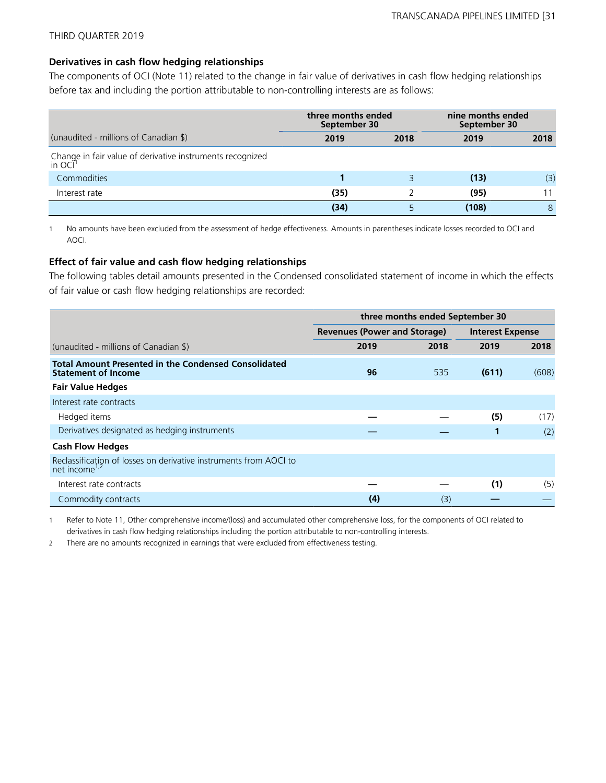### **Derivatives in cash flow hedging relationships**

The components of OCI (Note 11) related to the change in fair value of derivatives in cash flow hedging relationships before tax and including the portion attributable to non-controlling interests are as follows:

|                                                                     | three months ended<br>September 30 |      | nine months ended<br>September 30 |      |  |
|---------------------------------------------------------------------|------------------------------------|------|-----------------------------------|------|--|
| (unaudited - millions of Canadian \$)                               | 2019                               | 2018 | 2019                              | 2018 |  |
| Change in fair value of derivative instruments recognized<br>in OCI |                                    |      |                                   |      |  |
| Commodities                                                         |                                    |      | (13)                              | (3)  |  |
| Interest rate                                                       | (35)                               |      | (95)                              | 11   |  |
|                                                                     | (34)                               |      | (108)                             | 8    |  |

1 No amounts have been excluded from the assessment of hedge effectiveness. Amounts in parentheses indicate losses recorded to OCI and AOCI.

### **Effect of fair value and cash flow hedging relationships**

The following tables detail amounts presented in the Condensed consolidated statement of income in which the effects of fair value or cash flow hedging relationships are recorded:

|                                                                                                | three months ended September 30     |      |                         |       |
|------------------------------------------------------------------------------------------------|-------------------------------------|------|-------------------------|-------|
|                                                                                                | <b>Revenues (Power and Storage)</b> |      | <b>Interest Expense</b> |       |
| (unaudited - millions of Canadian \$)                                                          | 2019                                | 2018 | 2019                    | 2018  |
| <b>Total Amount Presented in the Condensed Consolidated</b><br><b>Statement of Income</b>      | 96                                  | 535  | (611)                   | (608) |
| <b>Fair Value Hedges</b>                                                                       |                                     |      |                         |       |
| Interest rate contracts                                                                        |                                     |      |                         |       |
| Hedged items                                                                                   |                                     |      | (5)                     | (17)  |
| Derivatives designated as hedging instruments                                                  |                                     |      | 1                       | (2)   |
| <b>Cash Flow Hedges</b>                                                                        |                                     |      |                         |       |
| Reclassificațion of losses on derivative instruments from AOCI to<br>net income <sup>1,2</sup> |                                     |      |                         |       |
| Interest rate contracts                                                                        |                                     |      | (1)                     | (5)   |
| Commodity contracts                                                                            | (4)                                 | (3)  |                         |       |

1 Refer to Note 11, Other comprehensive income/(loss) and accumulated other comprehensive loss, for the components of OCI related to derivatives in cash flow hedging relationships including the portion attributable to non-controlling interests.

2 There are no amounts recognized in earnings that were excluded from effectiveness testing.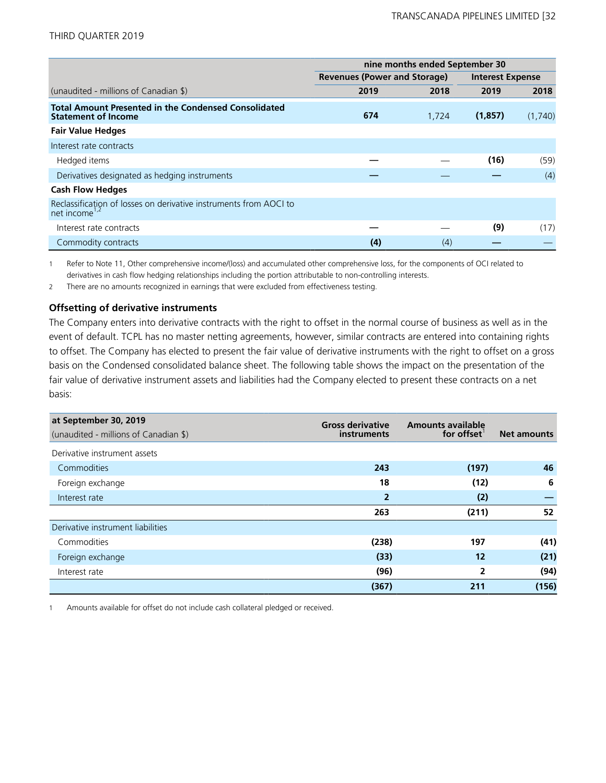|                                                                                                | nine months ended September 30      |       |                         |         |
|------------------------------------------------------------------------------------------------|-------------------------------------|-------|-------------------------|---------|
|                                                                                                | <b>Revenues (Power and Storage)</b> |       | <b>Interest Expense</b> |         |
| (unaudited - millions of Canadian \$)                                                          | 2019                                | 2018  | 2019                    | 2018    |
| <b>Total Amount Presented in the Condensed Consolidated</b><br><b>Statement of Income</b>      | 674                                 | 1,724 | (1,857)                 | (1,740) |
| <b>Fair Value Hedges</b>                                                                       |                                     |       |                         |         |
| Interest rate contracts                                                                        |                                     |       |                         |         |
| Hedged items                                                                                   |                                     |       | (16)                    | (59)    |
| Derivatives designated as hedging instruments                                                  |                                     |       |                         | (4)     |
| <b>Cash Flow Hedges</b>                                                                        |                                     |       |                         |         |
| Reclassification of losses on derivative instruments from AOCI to<br>net income <sup>1,2</sup> |                                     |       |                         |         |
| Interest rate contracts                                                                        |                                     |       | (9)                     | (17)    |
| Commodity contracts                                                                            | (4)                                 | (4)   |                         |         |

1 Refer to Note 11, Other comprehensive income/(loss) and accumulated other comprehensive loss, for the components of OCI related to derivatives in cash flow hedging relationships including the portion attributable to non-controlling interests.

2 There are no amounts recognized in earnings that were excluded from effectiveness testing.

### **Offsetting of derivative instruments**

The Company enters into derivative contracts with the right to offset in the normal course of business as well as in the event of default. TCPL has no master netting agreements, however, similar contracts are entered into containing rights to offset. The Company has elected to present the fair value of derivative instruments with the right to offset on a gross basis on the Condensed consolidated balance sheet. The following table shows the impact on the presentation of the fair value of derivative instrument assets and liabilities had the Company elected to present these contracts on a net basis:

| at September 30, 2019<br>(unaudited - millions of Canadian \$) | <b>Gross derivative</b><br><i>instruments</i> | <b>Amounts available</b><br>for offset | <b>Net amounts</b> |
|----------------------------------------------------------------|-----------------------------------------------|----------------------------------------|--------------------|
| Derivative instrument assets                                   |                                               |                                        |                    |
| Commodities                                                    | 243                                           | (197)                                  | 46                 |
| Foreign exchange                                               | 18                                            | (12)                                   | 6                  |
| Interest rate                                                  | $\overline{2}$                                | (2)                                    |                    |
|                                                                | 263                                           | (211)                                  | 52                 |
| Derivative instrument liabilities                              |                                               |                                        |                    |
| Commodities                                                    | (238)                                         | 197                                    | (41)               |
| Foreign exchange                                               | (33)                                          | 12                                     | (21)               |
| Interest rate                                                  | (96)                                          | 2                                      | (94)               |
|                                                                | (367)                                         | 211                                    | (156)              |

1 Amounts available for offset do not include cash collateral pledged or received.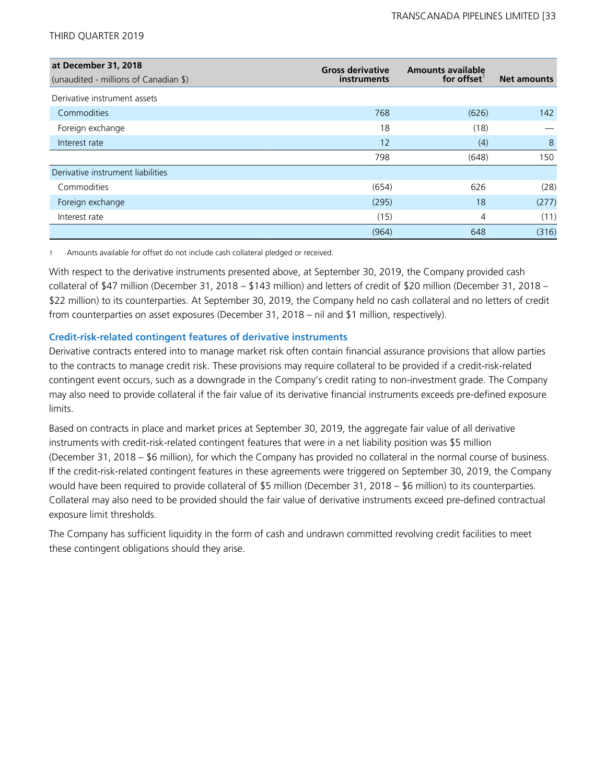| at December 31, 2018<br>(unaudited - millions of Canadian \$) | <b>Gross derivative</b><br>instruments | <b>Amounts available</b><br>for offset | <b>Net amounts</b> |
|---------------------------------------------------------------|----------------------------------------|----------------------------------------|--------------------|
| Derivative instrument assets                                  |                                        |                                        |                    |
| Commodities                                                   | 768                                    | (626)                                  | 142                |
| Foreign exchange                                              | 18                                     | (18)                                   |                    |
| Interest rate                                                 | 12                                     | (4)                                    | 8                  |
|                                                               | 798                                    | (648)                                  | 150                |
| Derivative instrument liabilities                             |                                        |                                        |                    |
| Commodities                                                   | (654)                                  | 626                                    | (28)               |
| Foreign exchange                                              | (295)                                  | 18                                     | (277)              |
| Interest rate                                                 | (15)                                   | 4                                      | (11)               |
|                                                               | (964)                                  | 648                                    | (316)              |

1 Amounts available for offset do not include cash collateral pledged or received.

With respect to the derivative instruments presented above, at September 30, 2019, the Company provided cash collateral of \$47 million (December 31, 2018 – \$143 million) and letters of credit of \$20 million (December 31, 2018 – \$22 million) to its counterparties. At September 30, 2019, the Company held no cash collateral and no letters of credit from counterparties on asset exposures (December 31, 2018 – nil and \$1 million, respectively).

### **Credit-risk-related contingent features of derivative instruments**

Derivative contracts entered into to manage market risk often contain financial assurance provisions that allow parties to the contracts to manage credit risk. These provisions may require collateral to be provided if a credit-risk-related contingent event occurs, such as a downgrade in the Company's credit rating to non-investment grade. The Company may also need to provide collateral if the fair value of its derivative financial instruments exceeds pre-defined exposure limits.

Based on contracts in place and market prices at September 30, 2019, the aggregate fair value of all derivative instruments with credit-risk-related contingent features that were in a net liability position was \$5 million (December 31, 2018 – \$6 million), for which the Company has provided no collateral in the normal course of business. If the credit-risk-related contingent features in these agreements were triggered on September 30, 2019, the Company would have been required to provide collateral of \$5 million (December 31, 2018 – \$6 million) to its counterparties. Collateral may also need to be provided should the fair value of derivative instruments exceed pre-defined contractual exposure limit thresholds.

The Company has sufficient liquidity in the form of cash and undrawn committed revolving credit facilities to meet these contingent obligations should they arise.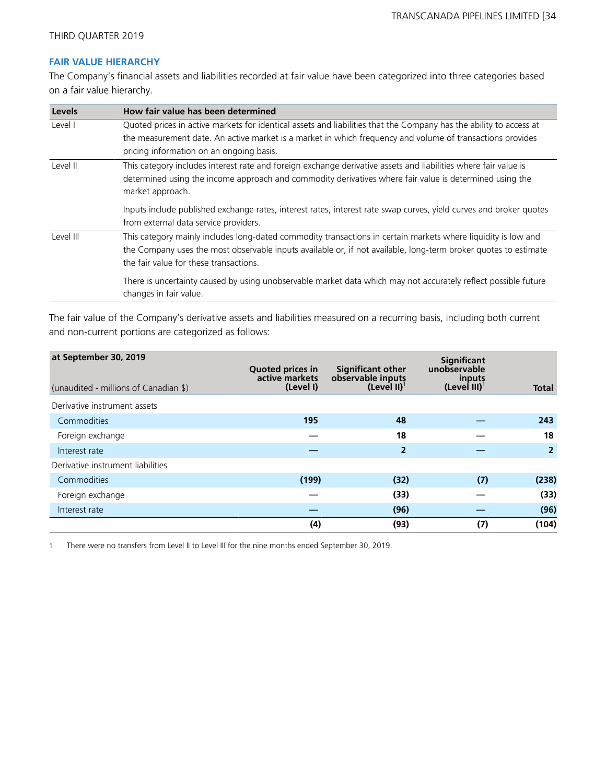### **FAIR VALUE HIERARCHY**

The Company's financial assets and liabilities recorded at fair value have been categorized into three categories based on a fair value hierarchy.

| Levels    | How fair value has been determined                                                                                                                                                                                                                                          |
|-----------|-----------------------------------------------------------------------------------------------------------------------------------------------------------------------------------------------------------------------------------------------------------------------------|
| Level I   | Quoted prices in active markets for identical assets and liabilities that the Company has the ability to access at<br>the measurement date. An active market is a market in which frequency and volume of transactions provides<br>pricing information on an ongoing basis. |
| Level II  | This category includes interest rate and foreign exchange derivative assets and liabilities where fair value is<br>determined using the income approach and commodity derivatives where fair value is determined using the<br>market approach.                              |
|           | Inputs include published exchange rates, interest rates, interest rate swap curves, yield curves and broker quotes<br>from external data service providers.                                                                                                                 |
| Level III | This category mainly includes long-dated commodity transactions in certain markets where liquidity is low and<br>the Company uses the most observable inputs available or, if not available, long-term broker quotes to estimate<br>the fair value for these transactions.  |
|           | There is uncertainty caused by using unobservable market data which may not accurately reflect possible future<br>changes in fair value.                                                                                                                                    |

The fair value of the Company's derivative assets and liabilities measured on a recurring basis, including both current and non-current portions are categorized as follows:

| at September 30, 2019<br>(unaudited - millions of Canadian \$) | <b>Quoted prices in</b><br>active markets<br>(Level I) | <b>Significant other</b><br>observable inputs<br>$(Level II)^{T}$ | <b>Significant</b><br>unobservable<br>inputs<br>(Level III) $^1$ | <b>Total</b>   |
|----------------------------------------------------------------|--------------------------------------------------------|-------------------------------------------------------------------|------------------------------------------------------------------|----------------|
| Derivative instrument assets                                   |                                                        |                                                                   |                                                                  |                |
| Commodities                                                    | 195                                                    | 48                                                                |                                                                  | 243            |
| Foreign exchange                                               |                                                        | 18                                                                |                                                                  | 18             |
| Interest rate                                                  |                                                        | $\overline{2}$                                                    |                                                                  | $\overline{2}$ |
| Derivative instrument liabilities                              |                                                        |                                                                   |                                                                  |                |
| Commodities                                                    | (199)                                                  | (32)                                                              | (7)                                                              | (238)          |
| Foreign exchange                                               |                                                        | (33)                                                              |                                                                  | (33)           |
| Interest rate                                                  |                                                        | (96)                                                              |                                                                  | (96)           |
|                                                                | (4)                                                    | (93)                                                              | (7)                                                              | (104)          |

1 There were no transfers from Level II to Level III for the nine months ended September 30, 2019.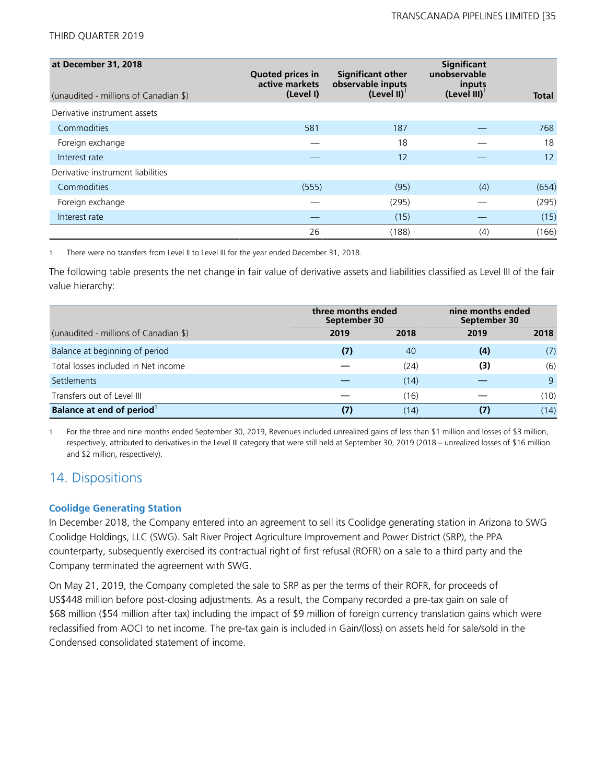| at December 31, 2018<br>(unaudited - millions of Canadian \$) | <b>Quoted prices in</b><br>active markets<br>(Level I) | <b>Significant other</b><br>observable inputs<br>(Level II) <sup>1</sup> | Significant<br>unobservable<br>inputs<br>$(Level III)^T$ | <b>Total</b> |
|---------------------------------------------------------------|--------------------------------------------------------|--------------------------------------------------------------------------|----------------------------------------------------------|--------------|
| Derivative instrument assets                                  |                                                        |                                                                          |                                                          |              |
| Commodities                                                   | 581                                                    | 187                                                                      |                                                          | 768          |
| Foreign exchange                                              |                                                        | 18                                                                       |                                                          | 18           |
| Interest rate                                                 |                                                        | 12                                                                       |                                                          | 12           |
| Derivative instrument liabilities                             |                                                        |                                                                          |                                                          |              |
| Commodities                                                   | (555)                                                  | (95)                                                                     | (4)                                                      | (654)        |
| Foreign exchange                                              |                                                        | (295)                                                                    |                                                          | (295)        |
| Interest rate                                                 |                                                        | (15)                                                                     |                                                          | (15)         |
|                                                               | 26                                                     | (188)                                                                    | (4)                                                      | (166)        |

1 There were no transfers from Level II to Level III for the year ended December 31, 2018.

The following table presents the net change in fair value of derivative assets and liabilities classified as Level III of the fair value hierarchy:

|                                       | three months ended<br>September 30 |      | nine months ended<br>September 30 |      |
|---------------------------------------|------------------------------------|------|-----------------------------------|------|
| (unaudited - millions of Canadian \$) | 2019                               | 2018 | 2019                              | 2018 |
| Balance at beginning of period        | (7)                                | 40   | (4)                               | (7)  |
| Total losses included in Net income   |                                    | (24) | (3)                               | (6)  |
| <b>Settlements</b>                    |                                    | (14) |                                   | 9    |
| Transfers out of Level III            |                                    | (16) |                                   | (10) |
| Balance at end of period              |                                    | (14) | (7)                               | (14) |

1 For the three and nine months ended September 30, 2019, Revenues included unrealized gains of less than \$1 million and losses of \$3 million, respectively, attributed to derivatives in the Level III category that were still held at September 30, 2019 (2018 – unrealized losses of \$16 million and \$2 million, respectively).

## 14. Dispositions

### **Coolidge Generating Station**

In December 2018, the Company entered into an agreement to sell its Coolidge generating station in Arizona to SWG Coolidge Holdings, LLC (SWG). Salt River Project Agriculture Improvement and Power District (SRP), the PPA counterparty, subsequently exercised its contractual right of first refusal (ROFR) on a sale to a third party and the Company terminated the agreement with SWG.

On May 21, 2019, the Company completed the sale to SRP as per the terms of their ROFR, for proceeds of US\$448 million before post-closing adjustments. As a result, the Company recorded a pre-tax gain on sale of \$68 million (\$54 million after tax) including the impact of \$9 million of foreign currency translation gains which were reclassified from AOCI to net income. The pre-tax gain is included in Gain/(loss) on assets held for sale/sold in the Condensed consolidated statement of income.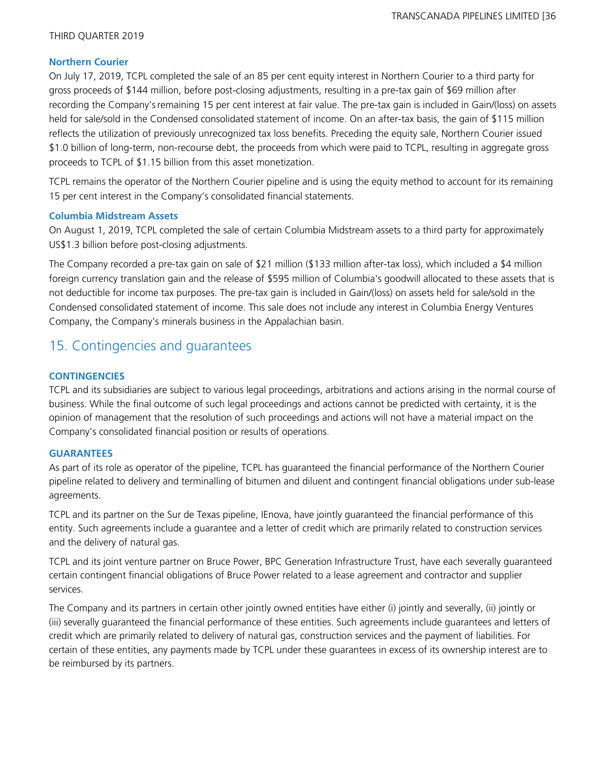### **Northern Courier**

On July 17, 2019, TCPL completed the sale of an 85 per cent equity interest in Northern Courier to a third party for gross proceeds of \$144 million, before post-closing adjustments, resulting in a pre-tax gain of \$69 million after recording the Company's remaining 15 per cent interest at fair value. The pre-tax gain is included in Gain/(loss) on assets held for sale/sold in the Condensed consolidated statement of income. On an after-tax basis, the gain of \$115 million reflects the utilization of previously unrecognized tax loss benefits. Preceding the equity sale, Northern Courier issued \$1.0 billion of long-term, non-recourse debt, the proceeds from which were paid to TCPL, resulting in aggregate gross proceeds to TCPL of \$1.15 billion from this asset monetization.

TCPL remains the operator of the Northern Courier pipeline and is using the equity method to account for its remaining 15 per cent interest in the Company's consolidated financial statements.

### **Columbia Midstream Assets**

On August 1, 2019, TCPL completed the sale of certain Columbia Midstream assets to a third party for approximately US\$1.3 billion before post-closing adjustments.

The Company recorded a pre-tax gain on sale of \$21 million (\$133 million after-tax loss), which included a \$4 million foreign currency translation gain and the release of \$595 million of Columbia's goodwill allocated to these assets that is not deductible for income tax purposes. The pre-tax gain is included in Gain/(loss) on assets held for sale/sold in the Condensed consolidated statement of income. This sale does not include any interest in Columbia Energy Ventures Company, the Company's minerals business in the Appalachian basin.

## 15. Contingencies and guarantees

### **CONTINGENCIES**

TCPL and its subsidiaries are subject to various legal proceedings, arbitrations and actions arising in the normal course of business. While the final outcome of such legal proceedings and actions cannot be predicted with certainty, it is the opinion of management that the resolution of such proceedings and actions will not have a material impact on the Company's consolidated financial position or results of operations.

### **GUARANTEES**

As part of its role as operator of the pipeline, TCPL has guaranteed the financial performance of the Northern Courier pipeline related to delivery and terminalling of bitumen and diluent and contingent financial obligations under sub-lease agreements.

TCPL and its partner on the Sur de Texas pipeline, IEnova, have jointly guaranteed the financial performance of this entity. Such agreements include a guarantee and a letter of credit which are primarily related to construction services and the delivery of natural gas.

TCPL and its joint venture partner on Bruce Power, BPC Generation Infrastructure Trust, have each severally guaranteed certain contingent financial obligations of Bruce Power related to a lease agreement and contractor and supplier services.

The Company and its partners in certain other jointly owned entities have either (i) jointly and severally, (ii) jointly or (iii) severally guaranteed the financial performance of these entities. Such agreements include guarantees and letters of credit which are primarily related to delivery of natural gas, construction services and the payment of liabilities. For certain of these entities, any payments made by TCPL under these guarantees in excess of its ownership interest are to be reimbursed by its partners.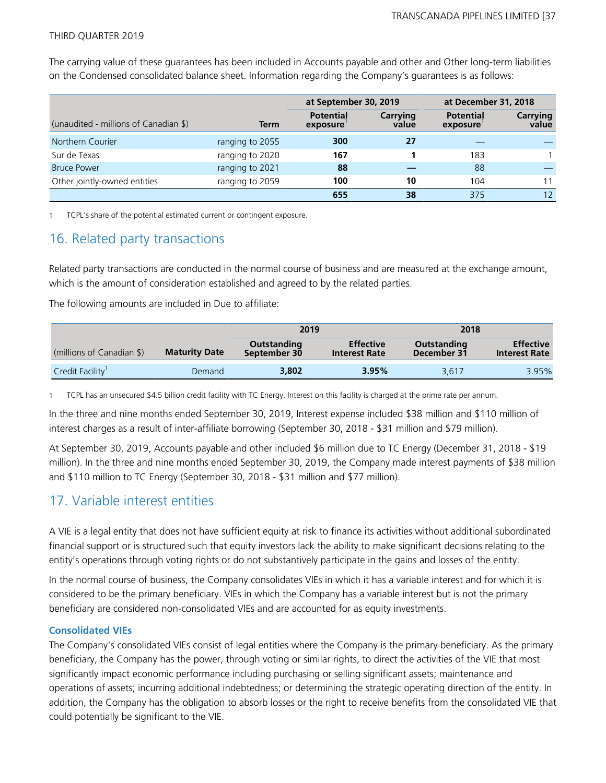**at September 30, 2019 at December 31, 2018** (unaudited - millions of Canadian \$) **Term Potential exposure** 1 **Carrying value Potential exposure** 1 **Carrying value** Northern Courier **27 27 28** Tranging to 2055 **300 27** Sur de Texas ranging to 2020 **167 1** 183 1 Bruce Power **88 —** 88 **—** 88 **—** 88 **—** 88 Other jointly-owned entities ranging to 2059 **100 10** 104 11 **655 38** 375 12

The carrying value of these guarantees has been included in Accounts payable and other and Other long-term liabilities on the Condensed consolidated balance sheet. Information regarding the Company's guarantees is as follows:

1 TCPL's share of the potential estimated current or contingent exposure.

### 16. Related party transactions

Related party transactions are conducted in the normal course of business and are measured at the exchange amount, which is the amount of consideration established and agreed to by the related parties.

The following amounts are included in Due to affiliate:

|                           |                      | 2019                        |                                          |                            |                                          | 2018 |  |
|---------------------------|----------------------|-----------------------------|------------------------------------------|----------------------------|------------------------------------------|------|--|
| (millions of Canadian \$) | <b>Maturity Date</b> | Outstanding<br>September 30 | <b>Effective</b><br><b>Interest Rate</b> | Outstanding<br>December 31 | <b>Effective</b><br><b>Interest Rate</b> |      |  |
| Credit Facility           | Demand               | 3,802                       | 3.95%                                    | 3.617                      | 3.95%                                    |      |  |

1 TCPL has an unsecured \$4.5 billion credit facility with TC Energy. Interest on this facility is charged at the prime rate per annum.

In the three and nine months ended September 30, 2019, Interest expense included \$38 million and \$110 million of interest charges as a result of inter-affiliate borrowing (September 30, 2018 - \$31 million and \$79 million).

At September 30, 2019, Accounts payable and other included \$6 million due to TC Energy (December 31, 2018 - \$19 million). In the three and nine months ended September 30, 2019, the Company made interest payments of \$38 million and \$110 million to TC Energy (September 30, 2018 - \$31 million and \$77 million).

## 17. Variable interest entities

A VIE is a legal entity that does not have sufficient equity at risk to finance its activities without additional subordinated financial support or is structured such that equity investors lack the ability to make significant decisions relating to the entity's operations through voting rights or do not substantively participate in the gains and losses of the entity.

In the normal course of business, the Company consolidates VIEs in which it has a variable interest and for which it is considered to be the primary beneficiary. VIEs in which the Company has a variable interest but is not the primary beneficiary are considered non-consolidated VIEs and are accounted for as equity investments.

### **Consolidated VIEs**

The Company's consolidated VIEs consist of legal entities where the Company is the primary beneficiary. As the primary beneficiary, the Company has the power, through voting or similar rights, to direct the activities of the VIE that most significantly impact economic performance including purchasing or selling significant assets; maintenance and operations of assets; incurring additional indebtedness; or determining the strategic operating direction of the entity. In addition, the Company has the obligation to absorb losses or the right to receive benefits from the consolidated VIE that could potentially be significant to the VIE.